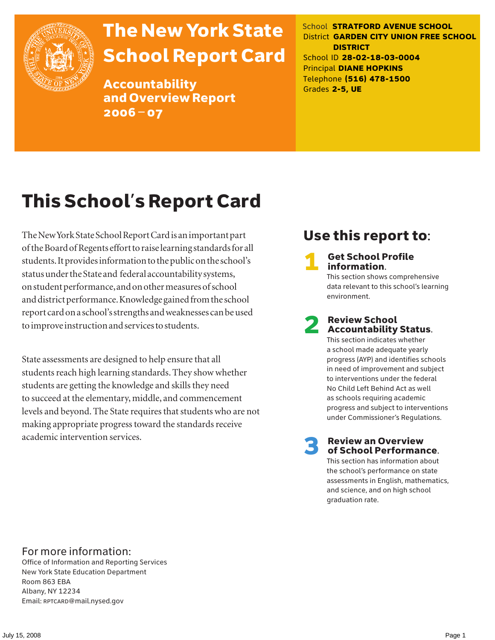

# The New York State School Report Card

Accountability and Overview Report 2006–07

School **STRATFORD AVENUE SCHOOL** District **GARDEN CITY UNION FREE SCHOOL DISTRICT** School ID **28-02-18-03-0004** Principal **DIANE HOPKINS** Telephone **(516) 478-1500** Grades **2-5, UE**

# This School's Report Card

The New York State School Report Card is an important part of the Board of Regents effort to raise learning standards for all students. It provides information to the public on the school's status under the State and federal accountability systems, on student performance, and on other measures of school and district performance. Knowledge gained from the school report card on a school's strengths and weaknesses can be used to improve instruction and services to students.

State assessments are designed to help ensure that all students reach high learning standards. They show whether students are getting the knowledge and skills they need to succeed at the elementary, middle, and commencement levels and beyond. The State requires that students who are not making appropriate progress toward the standards receive academic intervention services.

### Use this report to:

**Get School Profile** information.

This section shows comprehensive data relevant to this school's learning environment.

# 2 Review School Accountability Status.

This section indicates whether a school made adequate yearly progress (AYP) and identifies schools in need of improvement and subject to interventions under the federal No Child Left Behind Act as well as schools requiring academic progress and subject to interventions under Commissioner's Regulations.

**Review an Overview** of School Performance.

This section has information about the school's performance on state assessments in English, mathematics, and science, and on high school graduation rate.

### For more information:

Office of Information and Reporting Services New York State Education Department Room 863 EBA Albany, NY 12234 Email: RPTCARD@mail.nysed.gov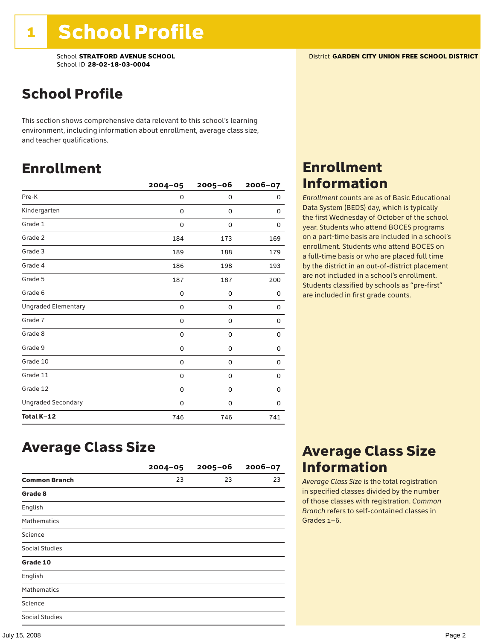### School Profile

This section shows comprehensive data relevant to this school's learning environment, including information about enrollment, average class size, and teacher qualifications.

### Enrollment

|                            | $2004 - 05$ | $2005 - 06$ | 2006-07 |
|----------------------------|-------------|-------------|---------|
| Pre-K                      | 0           | 0           | 0       |
| Kindergarten               | 0           | 0           | 0       |
| Grade 1                    | 0           | 0           | 0       |
| Grade 2                    | 184         | 173         | 169     |
| Grade 3                    | 189         | 188         | 179     |
| Grade 4                    | 186         | 198         | 193     |
| Grade 5                    | 187         | 187         | 200     |
| Grade 6                    | 0           | 0           | 0       |
| <b>Ungraded Elementary</b> | 0           | 0           | 0       |
| Grade 7                    | 0           | 0           | 0       |
| Grade 8                    | 0           | 0           | 0       |
| Grade 9                    | 0           | 0           | 0       |
| Grade 10                   | 0           | 0           | 0       |
| Grade 11                   | 0           | 0           | 0       |
| Grade 12                   | 0           | 0           | 0       |
| <b>Ungraded Secondary</b>  | 0           | 0           | 0       |
| Total K-12                 | 746         | 746         | 741     |

### Enrollment Information

*Enrollment* counts are as of Basic Educational Data System (BEDS) day, which is typically the first Wednesday of October of the school year. Students who attend BOCES programs on a part-time basis are included in a school's enrollment. Students who attend BOCES on a full-time basis or who are placed full time by the district in an out-of-district placement are not included in a school's enrollment. Students classified by schools as "pre-first" are included in first grade counts.

### Average Class Size

|                       | $2004 - 05$ | $2005 - 06$ | $2006 - 07$ |
|-----------------------|-------------|-------------|-------------|
| <b>Common Branch</b>  | 23          | 23          | 23          |
| Grade 8               |             |             |             |
| English               |             |             |             |
| <b>Mathematics</b>    |             |             |             |
| Science               |             |             |             |
| <b>Social Studies</b> |             |             |             |
| Grade 10              |             |             |             |
| English               |             |             |             |
| <b>Mathematics</b>    |             |             |             |
| Science               |             |             |             |
| <b>Social Studies</b> |             |             |             |

### Average Class Size Information

*Average Class Size* is the total registration in specified classes divided by the number of those classes with registration. *Common Branch* refers to self-contained classes in Grades 1–6.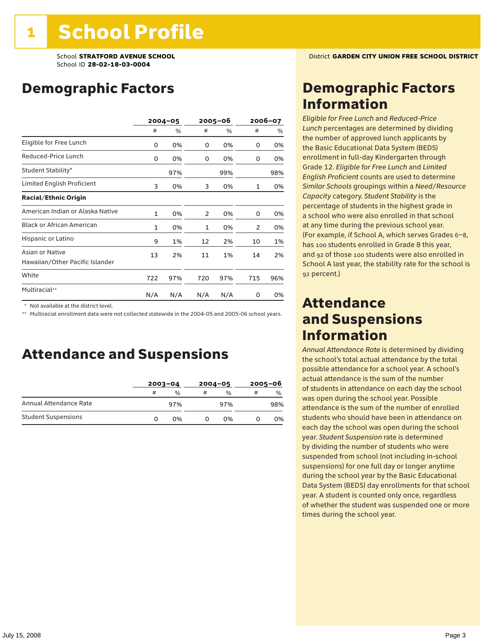### Demographic Factors

|                                                    | $2004 - 05$  |     | 2005–06      |     | 2006-07 |     |
|----------------------------------------------------|--------------|-----|--------------|-----|---------|-----|
|                                                    | #            | %   | #            | %   | #       | %   |
| Eligible for Free Lunch                            | 0            | 0%  | 0            | 0%  | 0       | 0%  |
| Reduced-Price Lunch                                | 0            | 0%  | 0            | 0%  | 0       | 0%  |
| Student Stability*                                 |              | 97% |              | 99% |         | 98% |
| Limited English Proficient                         | 3            | 0%  | 3            | 0%  | 1       | 0%  |
| <b>Racial/Ethnic Origin</b>                        |              |     |              |     |         |     |
| American Indian or Alaska Native                   | 1            | 0%  | 2            | 0%  | 0       | 0%  |
| <b>Black or African American</b>                   | $\mathbf{1}$ | 0%  | $\mathbf{1}$ | 0%  | 2       | 0%  |
| Hispanic or Latino                                 | 9            | 1%  | 12           | 2%  | 10      | 1%  |
| Asian or Native<br>Hawaiian/Other Pacific Islander | 13           | 2%  | 11           | 1%  | 14      | 2%  |
| White                                              | 722          | 97% | 720          | 97% | 715     | 96% |
| Multiracial**                                      | N/A          | N/A | N/A          | N/A | 0       | 0%  |

\* Not available at the district level.

\*\* Multiracial enrollment data were not collected statewide in the 2004-05 and 2005-06 school years.

### Attendance and Suspensions

|                            |   | $2003 - 04$ |   | $2004 - 05$ | $2005 - 06$ |               |
|----------------------------|---|-------------|---|-------------|-------------|---------------|
|                            | # | %           | # | %           | #           | $\frac{0}{0}$ |
| Annual Attendance Rate     |   | 97%         |   | 97%         |             | 98%           |
| <b>Student Suspensions</b> |   | በ%          |   | በ%          |             | 0%            |

### Demographic Factors Information

*Eligible for Free Lunch* and *Reduced*-*Price Lunch* percentages are determined by dividing the number of approved lunch applicants by the Basic Educational Data System (BEDS) enrollment in full-day Kindergarten through Grade 12. *Eligible for Free Lunch* and *Limited English Proficient* counts are used to determine *Similar Schools* groupings within a *Need*/*Resource Capacity* category. *Student Stability* is the percentage of students in the highest grade in a school who were also enrolled in that school at any time during the previous school year. (For example, if School A, which serves Grades 6–8, has 100 students enrolled in Grade 8 this year, and 92 of those 100 students were also enrolled in School A last year, the stability rate for the school is 92 percent.)

### Attendance and Suspensions Information

*Annual Attendance Rate* is determined by dividing the school's total actual attendance by the total possible attendance for a school year. A school's actual attendance is the sum of the number of students in attendance on each day the school was open during the school year. Possible attendance is the sum of the number of enrolled students who should have been in attendance on each day the school was open during the school year. *Student Suspension* rate is determined by dividing the number of students who were suspended from school (not including in-school suspensions) for one full day or longer anytime during the school year by the Basic Educational Data System (BEDS) day enrollments for that school year. A student is counted only once, regardless of whether the student was suspended one or more times during the school year.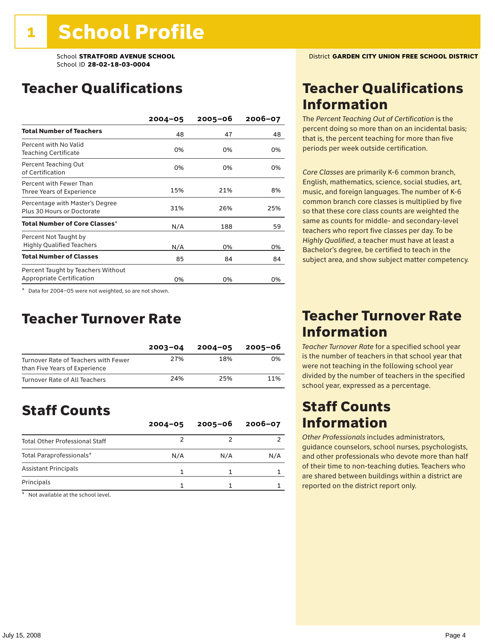### Teacher Qualifications

|                                                                 | $2004 - 05$ | 2005-06 | 2006-07 |
|-----------------------------------------------------------------|-------------|---------|---------|
| <b>Total Number of Teachers</b>                                 | 48          | 47      | 48      |
| Percent with No Valid<br><b>Teaching Certificate</b>            | 0%          | 0%      | በ%      |
| Percent Teaching Out<br>of Certification                        | 0%          | 0%      | 0%      |
| Percent with Fewer Than<br>Three Years of Experience            | 15%         | 21%     | 8%      |
| Percentage with Master's Degree<br>Plus 30 Hours or Doctorate   | 31%         | 26%     | 25%     |
| Total Number of Core Classes <sup>*</sup>                       | N/A         | 188     | 59      |
| Percent Not Taught by<br><b>Highly Qualified Teachers</b>       | N/A         | 0%      | 0%      |
| <b>Total Number of Classes</b>                                  | 85          | 84      | 84      |
| Percent Taught by Teachers Without<br>Appropriate Certification | 0%          | 0%      | 0%      |

\* Data for 2004–05 were not weighted, so are not shown.

### Teacher Turnover Rate

|                                                                       | $2003 - 04$ | $2004 - 05$ | 2005-06 |
|-----------------------------------------------------------------------|-------------|-------------|---------|
| Turnover Rate of Teachers with Fewer<br>than Five Years of Experience | 27%         | 18%         | 0%      |
| Turnover Rate of All Teachers                                         | 24%         | 25%         | 11%     |

### Staff Counts

|                                       | $2004 - 05$ | $2005 - 06$ | $2006 - 07$ |
|---------------------------------------|-------------|-------------|-------------|
| <b>Total Other Professional Staff</b> |             |             |             |
| Total Paraprofessionals*              | N/A         | N/A         | N/A         |
| <b>Assistant Principals</b>           |             |             |             |
| Principals                            |             |             |             |

\* Not available at the school level.

### Teacher Qualifications Information

The *Percent Teaching Out of Certification* is the percent doing so more than on an incidental basis; that is, the percent teaching for more than five periods per week outside certification.

*Core Classes* are primarily K-6 common branch, English, mathematics, science, social studies, art, music, and foreign languages. The number of K-6 common branch core classes is multiplied by five so that these core class counts are weighted the same as counts for middle- and secondary-level teachers who report five classes per day. To be *Highly Qualified*, a teacher must have at least a Bachelor's degree, be certified to teach in the subject area, and show subject matter competency.

### Teacher Turnover Rate Information

*Teacher Turnover Rate* for a specified school year is the number of teachers in that school year that were not teaching in the following school year divided by the number of teachers in the specified school year, expressed as a percentage.

### Staff Counts Information

*Other Professionals* includes administrators, guidance counselors, school nurses, psychologists, and other professionals who devote more than half of their time to non-teaching duties. Teachers who are shared between buildings within a district are reported on the district report only.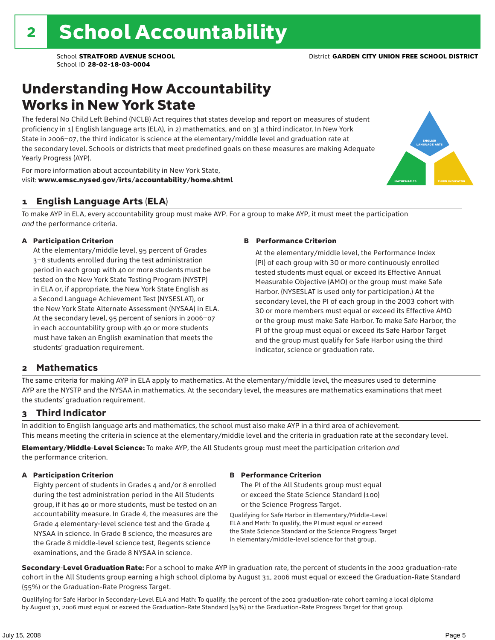### Understanding How Accountability Works in New York State

The federal No Child Left Behind (NCLB) Act requires that states develop and report on measures of student proficiency in 1) English language arts (ELA), in 2) mathematics, and on 3) a third indicator. In New York State in 2006–07, the third indicator is science at the elementary/middle level and graduation rate at the secondary level. Schools or districts that meet predefined goals on these measures are making Adequate Yearly Progress (AYP).



For more information about accountability in New York State, visit: www.emsc.nysed.gov/irts/accountability/home.shtml

#### 1 English Language Arts (ELA)

To make AYP in ELA, every accountability group must make AYP. For a group to make AYP, it must meet the participation *and* the performance criteria.

#### A Participation Criterion

At the elementary/middle level, 95 percent of Grades 3–8 students enrolled during the test administration period in each group with 40 or more students must be tested on the New York State Testing Program (NYSTP) in ELA or, if appropriate, the New York State English as a Second Language Achievement Test (NYSESLAT), or the New York State Alternate Assessment (NYSAA) in ELA. At the secondary level, 95 percent of seniors in 2006–07 in each accountability group with 40 or more students must have taken an English examination that meets the students' graduation requirement.

#### B Performance Criterion

At the elementary/middle level, the Performance Index (PI) of each group with 30 or more continuously enrolled tested students must equal or exceed its Effective Annual Measurable Objective (AMO) or the group must make Safe Harbor. (NYSESLAT is used only for participation.) At the secondary level, the PI of each group in the 2003 cohort with 30 or more members must equal or exceed its Effective AMO or the group must make Safe Harbor. To make Safe Harbor, the PI of the group must equal or exceed its Safe Harbor Target and the group must qualify for Safe Harbor using the third indicator, science or graduation rate.

#### 2 Mathematics

The same criteria for making AYP in ELA apply to mathematics. At the elementary/middle level, the measures used to determine AYP are the NYSTP and the NYSAA in mathematics. At the secondary level, the measures are mathematics examinations that meet the students' graduation requirement.

#### 3 Third Indicator

In addition to English language arts and mathematics, the school must also make AYP in a third area of achievement. This means meeting the criteria in science at the elementary/middle level and the criteria in graduation rate at the secondary level.

Elementary/Middle-Level Science: To make AYP, the All Students group must meet the participation criterion *and* the performance criterion.

#### A Participation Criterion

Eighty percent of students in Grades 4 and/or 8 enrolled during the test administration period in the All Students group, if it has 40 or more students, must be tested on an accountability measure. In Grade 4, the measures are the Grade 4 elementary-level science test and the Grade 4 NYSAA in science. In Grade 8 science, the measures are the Grade 8 middle-level science test, Regents science examinations, and the Grade 8 NYSAA in science.

#### B Performance Criterion

The PI of the All Students group must equal or exceed the State Science Standard (100) or the Science Progress Target.

Qualifying for Safe Harbor in Elementary/Middle-Level ELA and Math: To qualify, the PI must equal or exceed the State Science Standard or the Science Progress Target in elementary/middle-level science for that group.

Secondary-Level Graduation Rate: For a school to make AYP in graduation rate, the percent of students in the 2002 graduation-rate cohort in the All Students group earning a high school diploma by August 31, 2006 must equal or exceed the Graduation-Rate Standard (55%) or the Graduation-Rate Progress Target.

Qualifying for Safe Harbor in Secondary-Level ELA and Math: To qualify, the percent of the 2002 graduation-rate cohort earning a local diploma by August 31, 2006 must equal or exceed the Graduation-Rate Standard (55%) or the Graduation-Rate Progress Target for that group.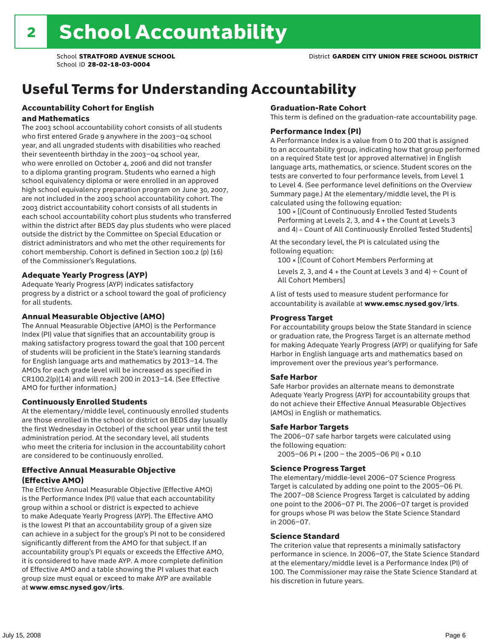# Useful Terms for Understanding Accountability

#### Accountability Cohort for English and Mathematics

The 2003 school accountability cohort consists of all students who first entered Grade 9 anywhere in the 2003–04 school year, and all ungraded students with disabilities who reached their seventeenth birthday in the 2003–04 school year, who were enrolled on October 4, 2006 and did not transfer to a diploma granting program. Students who earned a high school equivalency diploma or were enrolled in an approved high school equivalency preparation program on June 30, 2007, are not included in the 2003 school accountability cohort. The 2003 district accountability cohort consists of all students in each school accountability cohort plus students who transferred within the district after BEDS day plus students who were placed outside the district by the Committee on Special Education or district administrators and who met the other requirements for cohort membership. Cohort is defined in Section 100.2 (p) (16) of the Commissioner's Regulations.

#### Adequate Yearly Progress (AYP)

Adequate Yearly Progress (AYP) indicates satisfactory progress by a district or a school toward the goal of proficiency for all students.

#### Annual Measurable Objective (AMO)

The Annual Measurable Objective (AMO) is the Performance Index (PI) value that signifies that an accountability group is making satisfactory progress toward the goal that 100 percent of students will be proficient in the State's learning standards for English language arts and mathematics by 2013–14. The AMOs for each grade level will be increased as specified in CR100.2(p)(14) and will reach 200 in 2013–14. (See Effective AMO for further information.)

#### Continuously Enrolled Students

At the elementary/middle level, continuously enrolled students are those enrolled in the school or district on BEDS day (usually the first Wednesday in October) of the school year until the test administration period. At the secondary level, all students who meet the criteria for inclusion in the accountability cohort are considered to be continuously enrolled.

#### Effective Annual Measurable Objective (Effective AMO)

The Effective Annual Measurable Objective (Effective AMO) is the Performance Index (PI) value that each accountability group within a school or district is expected to achieve to make Adequate Yearly Progress (AYP). The Effective AMO is the lowest PI that an accountability group of a given size can achieve in a subject for the group's PI not to be considered significantly different from the AMO for that subject. If an accountability group's PI equals or exceeds the Effective AMO, it is considered to have made AYP. A more complete definition of Effective AMO and a table showing the PI values that each group size must equal or exceed to make AYP are available at www.emsc.nysed.gov/irts.

#### Graduation-Rate Cohort

This term is defined on the graduation-rate accountability page.

#### Performance Index (PI)

A Performance Index is a value from 0 to 200 that is assigned to an accountability group, indicating how that group performed on a required State test (or approved alternative) in English language arts, mathematics, or science. Student scores on the tests are converted to four performance levels, from Level 1 to Level 4. (See performance level definitions on the Overview Summary page.) At the elementary/middle level, the PI is calculated using the following equation:

100 × [(Count of Continuously Enrolled Tested Students Performing at Levels 2, 3, and 4 + the Count at Levels 3 and 4) ÷ Count of All Continuously Enrolled Tested Students]

At the secondary level, the PI is calculated using the following equation:

100 × [(Count of Cohort Members Performing at

Levels 2, 3, and 4 + the Count at Levels 3 and 4)  $\div$  Count of All Cohort Members]

A list of tests used to measure student performance for accountability is available at www.emsc.nysed.gov/irts.

#### Progress Target

For accountability groups below the State Standard in science or graduation rate, the Progress Target is an alternate method for making Adequate Yearly Progress (AYP) or qualifying for Safe Harbor in English language arts and mathematics based on improvement over the previous year's performance.

#### Safe Harbor

Safe Harbor provides an alternate means to demonstrate Adequate Yearly Progress (AYP) for accountability groups that do not achieve their Effective Annual Measurable Objectives (AMOs) in English or mathematics.

#### Safe Harbor Targets

The 2006–07 safe harbor targets were calculated using the following equation:

2005–06 PI + (200 – the 2005–06 PI) × 0.10

#### Science Progress Target

The elementary/middle-level 2006–07 Science Progress Target is calculated by adding one point to the 2005–06 PI. The 2007–08 Science Progress Target is calculated by adding one point to the 2006–07 PI. The 2006–07 target is provided for groups whose PI was below the State Science Standard in 2006–07.

#### Science Standard

The criterion value that represents a minimally satisfactory performance in science. In 2006–07, the State Science Standard at the elementary/middle level is a Performance Index (PI) of 100. The Commissioner may raise the State Science Standard at his discretion in future years.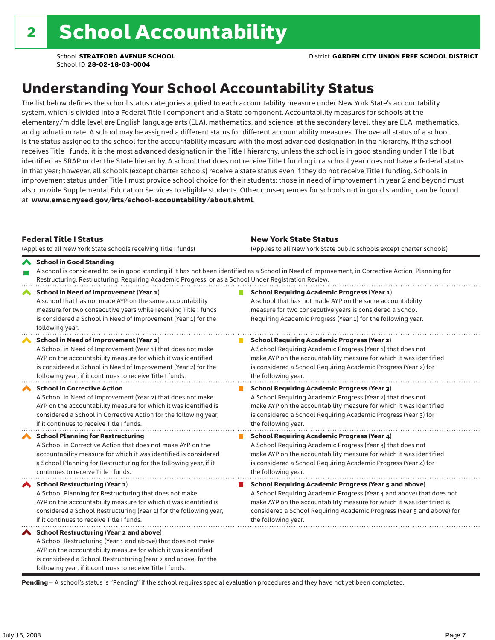### Understanding Your School Accountability Status

The list below defines the school status categories applied to each accountability measure under New York State's accountability system, which is divided into a Federal Title I component and a State component. Accountability measures for schools at the elementary/middle level are English language arts (ELA), mathematics, and science; at the secondary level, they are ELA, mathematics, and graduation rate. A school may be assigned a different status for different accountability measures. The overall status of a school is the status assigned to the school for the accountability measure with the most advanced designation in the hierarchy. If the school receives Title I funds, it is the most advanced designation in the Title I hierarchy, unless the school is in good standing under Title I but identified as SRAP under the State hierarchy. A school that does not receive Title I funding in a school year does not have a federal status in that year; however, all schools (except charter schools) receive a state status even if they do not receive Title I funding. Schools in improvement status under Title I must provide school choice for their students; those in need of improvement in year 2 and beyond must also provide Supplemental Education Services to eligible students. Other consequences for schools not in good standing can be found at: www.emsc.nysed.gov/irts/school-accountability/about.shtml.

| <b>Federal Title I Status</b><br>(Applies to all New York State schools receiving Title I funds)                                                                                                                                                                                                                | <b>New York State Status</b><br>(Applies to all New York State public schools except charter schools) |                                                                                                                                                                                                                                                                                                                 |  |  |  |
|-----------------------------------------------------------------------------------------------------------------------------------------------------------------------------------------------------------------------------------------------------------------------------------------------------------------|-------------------------------------------------------------------------------------------------------|-----------------------------------------------------------------------------------------------------------------------------------------------------------------------------------------------------------------------------------------------------------------------------------------------------------------|--|--|--|
| School in Good Standing<br>Restructuring, Restructuring, Requiring Academic Progress, or as a School Under Registration Review.                                                                                                                                                                                 |                                                                                                       | A school is considered to be in good standing if it has not been identified as a School in Need of Improvement, in Corrective Action, Planning for                                                                                                                                                              |  |  |  |
| School in Need of Improvement (Year 1)<br>A school that has not made AYP on the same accountability<br>measure for two consecutive years while receiving Title I funds<br>is considered a School in Need of Improvement (Year 1) for the<br>following year.                                                     |                                                                                                       | <b>School Requiring Academic Progress (Year 1)</b><br>A school that has not made AYP on the same accountability<br>measure for two consecutive years is considered a School<br>Requiring Academic Progress (Year 1) for the following year.                                                                     |  |  |  |
| <b>School in Need of Improvement (Year 2)</b><br>A School in Need of Improvement (Year 1) that does not make<br>AYP on the accountability measure for which it was identified<br>is considered a School in Need of Improvement (Year 2) for the<br>following year, if it continues to receive Title I funds.    |                                                                                                       | <b>School Requiring Academic Progress (Year 2)</b><br>A School Requiring Academic Progress (Year 1) that does not<br>make AYP on the accountability measure for which it was identified<br>is considered a School Requiring Academic Progress (Year 2) for<br>the following year.                               |  |  |  |
| <b>School in Corrective Action</b><br>A School in Need of Improvement (Year 2) that does not make<br>AYP on the accountability measure for which it was identified is<br>considered a School in Corrective Action for the following year,<br>if it continues to receive Title I funds.                          |                                                                                                       | <b>School Requiring Academic Progress (Year 3)</b><br>A School Requiring Academic Progress (Year 2) that does not<br>make AYP on the accountability measure for which it was identified<br>is considered a School Requiring Academic Progress (Year 3) for<br>the following year.                               |  |  |  |
| <b>School Planning for Restructuring</b><br>A School in Corrective Action that does not make AYP on the<br>accountability measure for which it was identified is considered<br>a School Planning for Restructuring for the following year, if it<br>continues to receive Title I funds.                         |                                                                                                       | <b>School Requiring Academic Progress (Year 4)</b><br>A School Requiring Academic Progress (Year 3) that does not<br>make AYP on the accountability measure for which it was identified<br>is considered a School Requiring Academic Progress (Year 4) for<br>the following year.                               |  |  |  |
| School Restructuring (Year 1)<br>A School Planning for Restructuring that does not make<br>AYP on the accountability measure for which it was identified is<br>considered a School Restructuring (Year 1) for the following year,<br>if it continues to receive Title I funds.                                  |                                                                                                       | <b>School Requiring Academic Progress (Year 5 and above)</b><br>A School Requiring Academic Progress (Year 4 and above) that does not<br>make AYP on the accountability measure for which it was identified is<br>considered a School Requiring Academic Progress (Year 5 and above) for<br>the following year. |  |  |  |
| <b>School Restructuring (Year 2 and above)</b><br>A School Restructuring (Year 1 and above) that does not make<br>AYP on the accountability measure for which it was identified<br>is considered a School Restructuring (Year 2 and above) for the<br>following year, if it continues to receive Title I funds. |                                                                                                       |                                                                                                                                                                                                                                                                                                                 |  |  |  |

Pending - A school's status is "Pending" if the school requires special evaluation procedures and they have not yet been completed.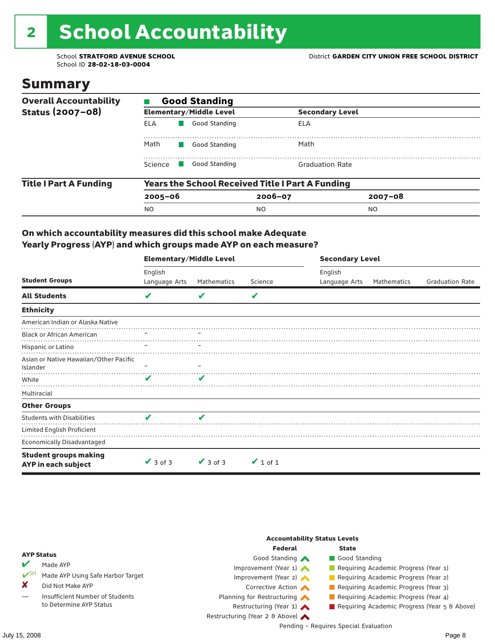# 2 School Accountability

School ID **28-02-18-03-0004**

### Summary

| <b>Overall Accountability</b> | <b>Good Standing</b>                                    |                                           |             |                        |  |  |  |  |
|-------------------------------|---------------------------------------------------------|-------------------------------------------|-------------|------------------------|--|--|--|--|
| Status (2007-08)              |                                                         | <b>Elementary/Middle Level</b>            |             | <b>Secondary Level</b> |  |  |  |  |
|                               | ELA                                                     | Good Standing                             | ELA         |                        |  |  |  |  |
|                               | Math                                                    | Good Standing                             | Math        |                        |  |  |  |  |
|                               | Science                                                 | Good Standing<br><b>Contract Contract</b> |             | <b>Graduation Rate</b> |  |  |  |  |
| <b>Title I Part A Funding</b> | <b>Years the School Received Title I Part A Funding</b> |                                           |             |                        |  |  |  |  |
|                               | $2005 - 06$                                             |                                           | $2006 - 07$ | $2007 - 08$            |  |  |  |  |
|                               | <b>NO</b>                                               |                                           | <b>NO</b>   | NO.                    |  |  |  |  |

#### On which accountability measures did this school make Adequate Yearly Progress (AYP) and which groups made AYP on each measure?

|                                                     | <b>Elementary/Middle Level</b> |                    |               | <b>Secondary Level</b> |             |                        |  |
|-----------------------------------------------------|--------------------------------|--------------------|---------------|------------------------|-------------|------------------------|--|
|                                                     | English                        |                    |               | English                |             |                        |  |
| <b>Student Groups</b>                               | Language Arts                  | Mathematics        | Science       | Language Arts          | Mathematics | <b>Graduation Rate</b> |  |
| <b>All Students</b>                                 | V                              |                    | V             |                        |             |                        |  |
| <b>Ethnicity</b>                                    |                                |                    |               |                        |             |                        |  |
| American Indian or Alaska Native                    |                                |                    |               |                        |             |                        |  |
| <b>Black or African American</b>                    |                                |                    |               |                        |             |                        |  |
| Hispanic or Latino                                  |                                |                    |               |                        |             |                        |  |
| Asian or Native Hawaiian/Other Pacific<br>Islander  |                                |                    |               |                        |             |                        |  |
| White                                               | V                              | v                  |               |                        |             |                        |  |
| Multiracial                                         |                                |                    |               |                        |             |                        |  |
| <b>Other Groups</b>                                 |                                |                    |               |                        |             |                        |  |
| <b>Students with Disabilities</b>                   | V                              | $\boldsymbol{\nu}$ |               |                        |             |                        |  |
| Limited English Proficient                          |                                |                    |               |                        |             |                        |  |
| <b>Economically Disadvantaged</b>                   |                                |                    |               |                        |             |                        |  |
| <b>Student groups making</b><br>AYP in each subject | $\vee$ 3 of 3                  | $\vee$ 3 of 3      | $\vee$ 1 of 1 |                        |             |                        |  |

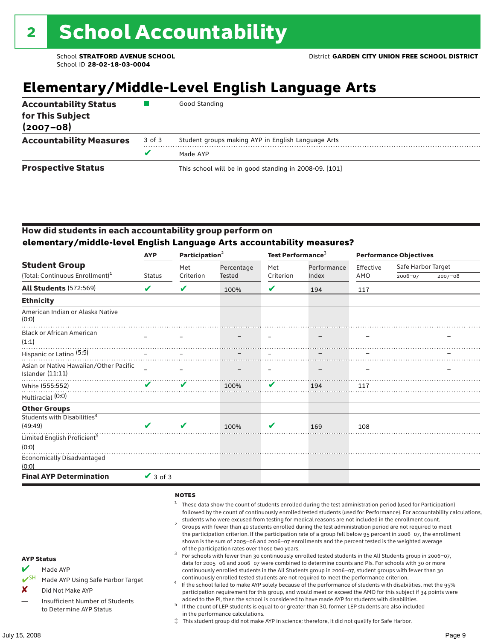## **Elementary/Middle-Level English Language Arts**

| <b>Accountability Status</b><br>for This Subject<br>$(2007 - 08)$ |        | Good Standing                                          |
|-------------------------------------------------------------------|--------|--------------------------------------------------------|
| <b>Accountability Measures</b>                                    | 3 of 3 | Student groups making AYP in English Language Arts     |
|                                                                   | v      | Made AYP                                               |
| <b>Prospective Status</b>                                         |        | This school will be in good standing in 2008-09. [101] |

#### How did students in each accountability group perform on **elementary/middle-level English Language Arts accountability measures?**

|                                                            | Participation <sup>2</sup><br><b>AYP</b> |           |            | Test Performance <sup>3</sup> |             | <b>Performance Objectives</b> |                    |             |
|------------------------------------------------------------|------------------------------------------|-----------|------------|-------------------------------|-------------|-------------------------------|--------------------|-------------|
| <b>Student Group</b>                                       |                                          | Met       | Percentage | Met                           | Performance | Effective                     | Safe Harbor Target |             |
| (Total: Continuous Enrollment) <sup>1</sup>                | <b>Status</b>                            | Criterion | Tested     | Criterion                     | Index       | AMO                           | 2006-07            | $2007 - 08$ |
| <b>All Students (572:569)</b>                              | V                                        | V         | 100%       | V                             | 194         | 117                           |                    |             |
| <b>Ethnicity</b>                                           |                                          |           |            |                               |             |                               |                    |             |
| American Indian or Alaska Native<br>(0:0)                  |                                          |           |            |                               |             |                               |                    |             |
| <b>Black or African American</b><br>(1:1)                  |                                          |           |            |                               |             |                               |                    |             |
| Hispanic or Latino <sup>(5:5)</sup>                        |                                          |           |            |                               |             |                               |                    |             |
| Asian or Native Hawaiian/Other Pacific<br>Islander (11:11) |                                          |           |            |                               |             |                               |                    |             |
| White (555:552)                                            | ✔                                        | ✔         | 100%       | V                             | 194         | 117                           |                    |             |
| Multiracial (0:0)                                          |                                          |           |            |                               |             |                               |                    |             |
| <b>Other Groups</b>                                        |                                          |           |            |                               |             |                               |                    |             |
| Students with Disabilities <sup>4</sup><br>(49:49)         | ✔                                        | ✔         | 100%       | V                             | 169         | 108                           |                    |             |
| Limited English Proficient <sup>5</sup><br>(0:0)           |                                          |           |            |                               |             |                               |                    |             |
| Economically Disadvantaged<br>(0:0)                        |                                          |           |            |                               |             |                               |                    |             |
| <b>Final AYP Determination</b>                             | $\vee$ 3 of 3                            |           |            |                               |             |                               |                    |             |

#### **NOTES**

- $1$  These data show the count of students enrolled during the test administration period (used for Participation) followed by the count of continuously enrolled tested students (used for Performance). For accountability calculations,
- students who were excused from testing for medical reasons are not included in the enrollment count. <sup>2</sup> Groups with fewer than 40 students enrolled during the test administration period are not required to meet the participation criterion. If the participation rate of a group fell below 95 percent in 2006–07, the enrollment shown is the sum of 2005–06 and 2006–07 enrollments and the percent tested is the weighted average
- of the participation rates over those two years.<br><sup>3</sup> For schools with fewer than 30 continuously enrolled tested students in the All Students group in 2006–07, data for 2005–06 and 2006–07 were combined to determine counts and PIs. For schools with 30 or more continuously enrolled students in the All Students group in 2006–07, student groups with fewer than 30
- continuously enrolled tested students are not required to meet the performance criterion. <sup>4</sup> If the school failed to make AYP solely because of the performance of students with disabilities, met the 95% participation requirement for this group, and would meet or exceed the AMO for this subject if 34 points were added to the PI, then the school is considered to have made AYP for students with disabilities.
- $5$  If the count of LEP students is equal to or greater than 30, former LEP students are also included in the performance calculations.
- ‡ This student group did not make AYP in science; therefore, it did not qualify for Safe Harbor.

AYP Status Made AYP

X Did Not Make AYP

Made AYP Using Safe Harbor Target

Insufficient Number of Students to Determine AYP Status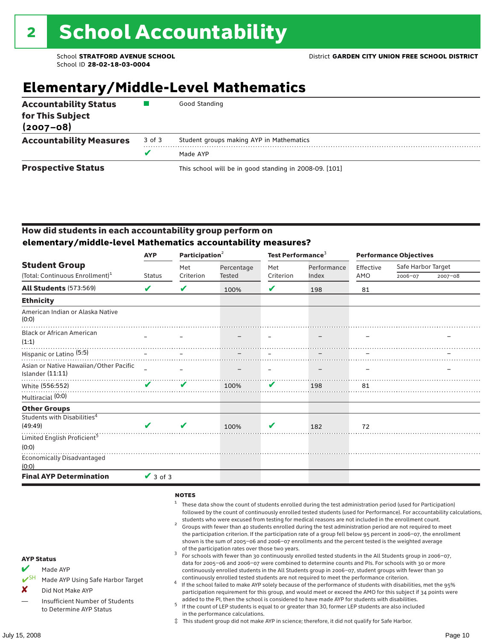### **Elementary/Middle-Level Mathematics**

| <b>Accountability Status</b><br>for This Subject<br>$(2007 - 08)$ |        | Good Standing                                          |
|-------------------------------------------------------------------|--------|--------------------------------------------------------|
| <b>Accountability Measures</b>                                    | 3 of 3 | Student groups making AYP in Mathematics               |
|                                                                   |        | Made AYP                                               |
| <b>Prospective Status</b>                                         |        | This school will be in good standing in 2008-09. [101] |

#### How did students in each accountability group perform on **elementary/middle-level Mathematics accountability measures?**

|                                                                   | <b>AYP</b>    | Participation <sup>2</sup> |            | Test Performance <sup>3</sup> |             | <b>Performance Objectives</b> |                    |             |
|-------------------------------------------------------------------|---------------|----------------------------|------------|-------------------------------|-------------|-------------------------------|--------------------|-------------|
| <b>Student Group</b>                                              |               | Met                        | Percentage | Met                           | Performance | Effective                     | Safe Harbor Target |             |
| (Total: Continuous Enrollment) <sup>1</sup>                       | <b>Status</b> | Criterion                  | Tested     | Criterion                     | Index       | AMO                           | 2006-07            | $2007 - 08$ |
| <b>All Students (573:569)</b>                                     | V             | V                          | 100%       | V                             | 198         | 81                            |                    |             |
| <b>Ethnicity</b>                                                  |               |                            |            |                               |             |                               |                    |             |
| American Indian or Alaska Native<br>(0:0)                         |               |                            |            |                               |             |                               |                    |             |
| <b>Black or African American</b><br>(1:1)                         |               |                            |            |                               |             |                               |                    |             |
| Hispanic or Latino <sup>(5:5)</sup>                               |               |                            |            |                               |             |                               |                    |             |
| Asian or Native Hawaiian/Other Pacific<br><b>Islander (11:11)</b> |               |                            |            |                               |             |                               |                    |             |
| White (556:552)                                                   |               | ✔                          | 100%       | ✔                             | 198         | 81                            |                    |             |
| Multiracial (0:0)                                                 |               |                            |            |                               |             |                               |                    |             |
| <b>Other Groups</b>                                               |               |                            |            |                               |             |                               |                    |             |
| Students with Disabilities <sup>4</sup><br>(49:49)                | ✔             | ✔                          | 100%       | V                             | 182         | 72                            |                    |             |
| Limited English Proficient <sup>5</sup><br>(0:0)                  |               |                            |            |                               |             |                               |                    |             |
| <b>Economically Disadvantaged</b><br>(0:0)                        |               |                            |            |                               |             |                               |                    |             |
| <b>Final AYP Determination</b>                                    | $\vee$ 3 of 3 |                            |            |                               |             |                               |                    |             |

#### **NOTES**

- $1$  These data show the count of students enrolled during the test administration period (used for Participation) followed by the count of continuously enrolled tested students (used for Performance). For accountability calculations,
- students who were excused from testing for medical reasons are not included in the enrollment count.<br><sup>2</sup> Groups with fewer than 40 students enrolled during the test administration period are not required to meet the participation criterion. If the participation rate of a group fell below 95 percent in 2006–07, the enrollment shown is the sum of 2005–06 and 2006–07 enrollments and the percent tested is the weighted average
- of the participation rates over those two years.<br><sup>3</sup> For schools with fewer than 30 continuously enrolled tested students in the All Students group in 2006–07, data for 2005–06 and 2006–07 were combined to determine counts and PIs. For schools with 30 or more continuously enrolled students in the All Students group in 2006–07, student groups with fewer than 30
- continuously enrolled tested students are not required to meet the performance criterion. <sup>4</sup> If the school failed to make AYP solely because of the performance of students with disabilities, met the 95% participation requirement for this group, and would meet or exceed the AMO for this subject if 34 points were added to the PI, then the school is considered to have made AYP for students with disabilities.
- $5$  If the count of LEP students is equal to or greater than 30, former LEP students are also included in the performance calculations.
- ‡ This student group did not make AYP in science; therefore, it did not qualify for Safe Harbor.

AYP Status Made AYP

X Did Not Make AYP

Made AYP Using Safe Harbor Target

Insufficient Number of Students to Determine AYP Status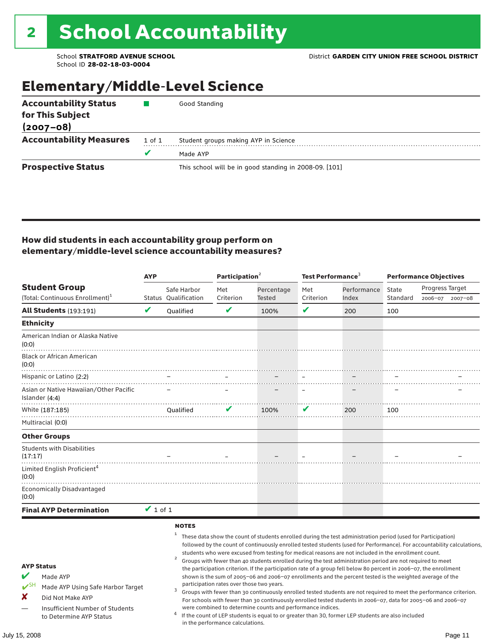## Elementary/Middle-Level Science

| <b>Accountability Status</b>   |        | Good Standing                                          |
|--------------------------------|--------|--------------------------------------------------------|
| for This Subject               |        |                                                        |
| $(2007 - 08)$                  |        |                                                        |
| <b>Accountability Measures</b> | 1 of 1 | Student groups making AYP in Science                   |
|                                | v      | Made AYP                                               |
| <b>Prospective Status</b>      |        | This school will be in good standing in 2008-09. [101] |

#### How did students in each accountability group perform on elementary/middle-level science accountability measures?

|                                                                                                                                                                            | <b>AYP</b>    |                              | Participation <sup>2</sup>                                                    |                                                            | Test Performance <sup>3</sup> |                                                                                                                                                                                                                                                                                                                                                                                                                                                                                                                                                                                                                                                                                                                                                                                                     | <b>Performance Objectives</b> |                 |                 |
|----------------------------------------------------------------------------------------------------------------------------------------------------------------------------|---------------|------------------------------|-------------------------------------------------------------------------------|------------------------------------------------------------|-------------------------------|-----------------------------------------------------------------------------------------------------------------------------------------------------------------------------------------------------------------------------------------------------------------------------------------------------------------------------------------------------------------------------------------------------------------------------------------------------------------------------------------------------------------------------------------------------------------------------------------------------------------------------------------------------------------------------------------------------------------------------------------------------------------------------------------------------|-------------------------------|-----------------|-----------------|
| <b>Student Group</b>                                                                                                                                                       |               | Safe Harbor                  | Met                                                                           | Percentage                                                 | Met                           | Performance                                                                                                                                                                                                                                                                                                                                                                                                                                                                                                                                                                                                                                                                                                                                                                                         | State                         | Progress Target |                 |
| (Total: Continuous Enrollment) <sup>1</sup>                                                                                                                                |               | Status Qualification         | Criterion                                                                     | Tested                                                     | Criterion                     | Index                                                                                                                                                                                                                                                                                                                                                                                                                                                                                                                                                                                                                                                                                                                                                                                               | Standard                      |                 | 2006-07 2007-08 |
| <b>All Students (193:191)</b>                                                                                                                                              | V             | <b>Oualified</b>             | V                                                                             | 100%                                                       | $\checkmark$                  | 200                                                                                                                                                                                                                                                                                                                                                                                                                                                                                                                                                                                                                                                                                                                                                                                                 | 100                           |                 |                 |
| <b>Ethnicity</b>                                                                                                                                                           |               |                              |                                                                               |                                                            |                               |                                                                                                                                                                                                                                                                                                                                                                                                                                                                                                                                                                                                                                                                                                                                                                                                     |                               |                 |                 |
| American Indian or Alaska Native<br>(0:0)                                                                                                                                  |               |                              |                                                                               |                                                            |                               |                                                                                                                                                                                                                                                                                                                                                                                                                                                                                                                                                                                                                                                                                                                                                                                                     |                               |                 |                 |
| <b>Black or African American</b><br>(0:0)                                                                                                                                  |               |                              |                                                                               |                                                            |                               |                                                                                                                                                                                                                                                                                                                                                                                                                                                                                                                                                                                                                                                                                                                                                                                                     |                               |                 |                 |
| Hispanic or Latino (2:2)                                                                                                                                                   |               |                              |                                                                               |                                                            |                               |                                                                                                                                                                                                                                                                                                                                                                                                                                                                                                                                                                                                                                                                                                                                                                                                     |                               |                 |                 |
| Asian or Native Hawaiian/Other Pacific<br>Islander (4:4)                                                                                                                   |               |                              |                                                                               |                                                            |                               |                                                                                                                                                                                                                                                                                                                                                                                                                                                                                                                                                                                                                                                                                                                                                                                                     |                               |                 |                 |
| White (187:185)                                                                                                                                                            |               | <b>Oualified</b>             | V                                                                             | 100%                                                       | V                             | 200                                                                                                                                                                                                                                                                                                                                                                                                                                                                                                                                                                                                                                                                                                                                                                                                 | 100                           |                 |                 |
| Multiracial (0:0)                                                                                                                                                          |               |                              |                                                                               |                                                            |                               |                                                                                                                                                                                                                                                                                                                                                                                                                                                                                                                                                                                                                                                                                                                                                                                                     |                               |                 |                 |
| <b>Other Groups</b>                                                                                                                                                        |               |                              |                                                                               |                                                            |                               |                                                                                                                                                                                                                                                                                                                                                                                                                                                                                                                                                                                                                                                                                                                                                                                                     |                               |                 |                 |
| <b>Students with Disabilities</b><br>(17:17)                                                                                                                               |               |                              |                                                                               |                                                            |                               |                                                                                                                                                                                                                                                                                                                                                                                                                                                                                                                                                                                                                                                                                                                                                                                                     |                               |                 |                 |
| Limited English Proficient <sup>4</sup><br>(0:0)                                                                                                                           |               |                              |                                                                               |                                                            |                               |                                                                                                                                                                                                                                                                                                                                                                                                                                                                                                                                                                                                                                                                                                                                                                                                     |                               |                 |                 |
| <b>Economically Disadvantaged</b><br>(0:0)                                                                                                                                 |               |                              |                                                                               |                                                            |                               |                                                                                                                                                                                                                                                                                                                                                                                                                                                                                                                                                                                                                                                                                                                                                                                                     |                               |                 |                 |
| <b>Final AYP Determination</b>                                                                                                                                             | $\vee$ 1 of 1 |                              |                                                                               |                                                            |                               |                                                                                                                                                                                                                                                                                                                                                                                                                                                                                                                                                                                                                                                                                                                                                                                                     |                               |                 |                 |
|                                                                                                                                                                            |               | <b>NOTES</b><br>1            |                                                                               |                                                            |                               | These data show the count of students enrolled during the test administration period (used for Participation)<br>followed by the count of continuously enrolled tested students (used for Performance). For accountability calculations,                                                                                                                                                                                                                                                                                                                                                                                                                                                                                                                                                            |                               |                 |                 |
| <b>AYP Status</b><br>V<br>Made AYP<br>$V^{SH}$<br>Made AYP Using Safe Harbor Target<br>X<br>Did Not Make AYP<br>Insufficient Number of Students<br>to Determine AYP Status |               | $\overline{\mathbf{c}}$<br>3 | participation rates over those two years.<br>in the performance calculations. | were combined to determine counts and performance indices. |                               | students who were excused from testing for medical reasons are not included in the enrollment count.<br>Groups with fewer than 40 students enrolled during the test administration period are not required to meet<br>the participation criterion. If the participation rate of a group fell below 80 percent in 2006-07, the enrollment<br>shown is the sum of 2005-06 and 2006-07 enrollments and the percent tested is the weighted average of the<br>Groups with fewer than 30 continuously enrolled tested students are not required to meet the performance criterion.<br>For schools with fewer than 30 continuously enrolled tested students in 2006-07, data for 2005-06 and 2006-07<br>If the count of LEP students is equal to or greater than 30, former LEP students are also included |                               |                 |                 |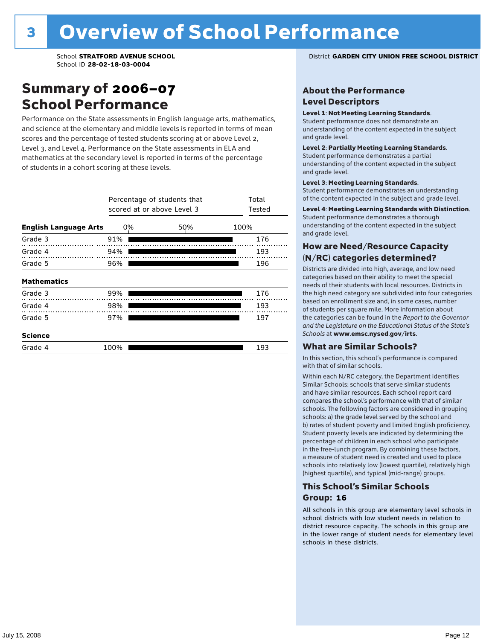### Summary of 2006–07 School Performance

Performance on the State assessments in English language arts, mathematics, and science at the elementary and middle levels is reported in terms of mean scores and the percentage of tested students scoring at or above Level 2, Level 3, and Level 4. Performance on the State assessments in ELA and mathematics at the secondary level is reported in terms of the percentage of students in a cohort scoring at these levels.

|                              |      | Percentage of students that<br>scored at or above Level 3 | Total<br>Tested |      |  |
|------------------------------|------|-----------------------------------------------------------|-----------------|------|--|
| <b>English Language Arts</b> | 0%   |                                                           | 50%             | 100% |  |
| Grade 3                      | 91%  |                                                           |                 | 176  |  |
| Grade 4                      | 94%  |                                                           |                 | 193  |  |
| Grade 5                      | 96%  |                                                           |                 | 196  |  |
| <b>Mathematics</b>           |      |                                                           |                 |      |  |
| Grade 3                      | 99%  |                                                           |                 | 176  |  |
| Grade 4                      | 98%  |                                                           |                 | 193  |  |
| Grade 5                      | 97%  |                                                           |                 | 197  |  |
| <b>Science</b>               |      |                                                           |                 |      |  |
| Grade 4                      | 100% |                                                           |                 | 193  |  |

School **STRATFORD AVENUE SCHOOL** District **GARDEN CITY UNION FREE SCHOOL DISTRICT**

#### About the Performance Level Descriptors

#### Level 1: Not Meeting Learning Standards.

Student performance does not demonstrate an understanding of the content expected in the subject and grade level.

#### Level 2: Partially Meeting Learning Standards.

Student performance demonstrates a partial understanding of the content expected in the subject and grade level.

#### Level 3: Meeting Learning Standards.

Student performance demonstrates an understanding of the content expected in the subject and grade level.

#### Level 4: Meeting Learning Standards with Distinction.

Student performance demonstrates a thorough understanding of the content expected in the subject and grade level.

#### How are Need/Resource Capacity (N/RC) categories determined?

Districts are divided into high, average, and low need categories based on their ability to meet the special needs of their students with local resources. Districts in the high need category are subdivided into four categories based on enrollment size and, in some cases, number of students per square mile. More information about the categories can be found in the *Report to the Governor and the Legislature on the Educational Status of the State's Schools* at www.emsc.nysed.gov/irts.

#### What are Similar Schools?

In this section, this school's performance is compared with that of similar schools.

Within each N/RC category, the Department identifies Similar Schools: schools that serve similar students and have similar resources. Each school report card compares the school's performance with that of similar schools. The following factors are considered in grouping schools: a) the grade level served by the school and b) rates of student poverty and limited English proficiency. Student poverty levels are indicated by determining the percentage of children in each school who participate in the free-lunch program. By combining these factors, a measure of student need is created and used to place schools into relatively low (lowest quartile), relatively high (highest quartile), and typical (mid-range) groups.

#### This School's Similar Schools Group: **16**

All schools in this group are elementary level schools in school districts with low student needs in relation to district resource capacity. The schools in this group are in the lower range of student needs for elementary level schools in these districts.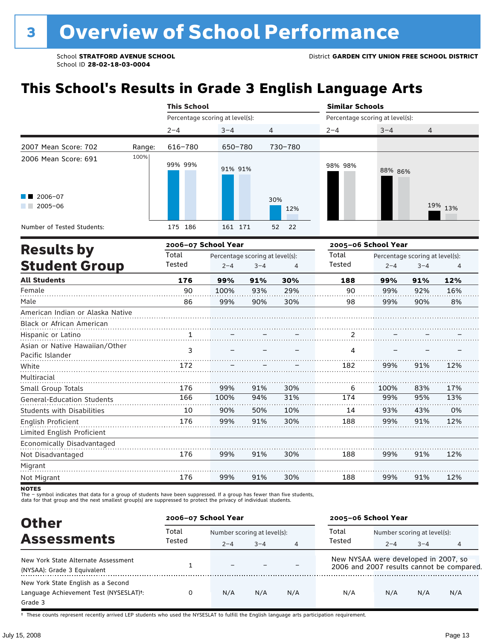# **This School's Results in Grade 3 English Language Arts**

|                                                    |        | <b>This School</b>              |                                 |         |                | <b>Similar Schools</b>          |         |                                 |         |  |
|----------------------------------------------------|--------|---------------------------------|---------------------------------|---------|----------------|---------------------------------|---------|---------------------------------|---------|--|
|                                                    |        | Percentage scoring at level(s): |                                 |         |                | Percentage scoring at level(s): |         |                                 |         |  |
|                                                    |        | $2 - 4$                         | $3 - 4$                         | 4       |                | $2 - 4$                         | $3 - 4$ | 4                               |         |  |
| 2007 Mean Score: 702                               | Range: | 616-780                         | 650-780                         |         | 730-780        |                                 |         |                                 |         |  |
| 2006 Mean Score: 691                               | 100%   | 99% 99%                         | 91% 91%                         |         |                | 98% 98%                         | 88% 86% |                                 |         |  |
| $2006 - 07$<br>$\blacksquare$ 2005-06              |        |                                 |                                 |         | 30%<br>12%     |                                 |         |                                 | 19% 13% |  |
| Number of Tested Students:                         |        | 175 186                         | 161 171                         |         | 22<br>52       |                                 |         |                                 |         |  |
| <b>Results by</b>                                  |        | 2006-07 School Year             |                                 |         |                | 2005-06 School Year             |         |                                 |         |  |
|                                                    |        | Total                           | Percentage scoring at level(s): |         |                | Total                           |         | Percentage scoring at level(s): |         |  |
| <b>Student Group</b>                               |        | Tested                          | $2 - 4$                         | $3 - 4$ | $\overline{4}$ | Tested                          | $2 - 4$ | $3 - 4$                         |         |  |
| <b>All Students</b>                                |        | 176                             | 99%                             | 91%     | 30%            | 188                             | 99%     | 91%                             | 12%     |  |
| Female                                             |        | 90                              | 100%                            | 93%     | 29%            | 90                              | 99%     | 92%                             | 16%     |  |
| Male                                               |        | 86                              | 99%                             | 90%     | 30%            | 98                              | 99%     | 90%                             | 8%      |  |
| American Indian or Alaska Native                   |        |                                 |                                 |         |                |                                 |         |                                 |         |  |
| Black or African American                          |        |                                 |                                 |         |                |                                 |         |                                 |         |  |
| Hispanic or Latino                                 |        |                                 |                                 |         |                |                                 |         |                                 |         |  |
| Asian or Native Hawaiian/Other<br>Pacific Islander |        | 3                               |                                 |         |                | 4                               |         |                                 |         |  |
| White                                              |        | 172                             |                                 |         |                | 182                             | 99%     | 91%                             | 12%     |  |
| Multiracial                                        |        |                                 |                                 |         |                |                                 |         |                                 |         |  |
| Small Group Totals                                 |        | 176                             | 99%                             | 91%     | 30%            | 6                               | 100%    | 83%                             | 17%     |  |
| <b>General-Education Students</b>                  |        | 166                             | 100%                            | 94%     | 31%            | 174                             | 99%     | 95%                             | 13%     |  |
| <b>Students with Disabilities</b>                  |        | 10                              | 90%                             | 50%     | 10%            | 14                              | 93%     | 43%                             | 0%      |  |
| English Proficient                                 |        | 176                             | 99%                             | 91%     | 30%            | 188                             | 99%     | 91%                             | 12%     |  |
| Limited English Proficient                         |        |                                 |                                 |         |                |                                 |         |                                 |         |  |
| Economically Disadvantaged                         |        |                                 |                                 |         |                |                                 |         |                                 |         |  |
| Not Disadvantaged                                  |        | 176                             | 99%                             | 91%     | 30%            | 188                             | 99%     | 91%                             | 12%     |  |

**NOTES** 

Migrant Not Migrant

The – symbol indicates that data for a group of students have been suppressed. If a group has fewer than five students,<br>data for that group and the next smallest group(s) are suppressed to protect the privacy of individual

176

| <b>Other</b>                                                                                         | 2006-07 School Year |         |                             |                | 2005-06 School Year                  |                             |         |                                           |
|------------------------------------------------------------------------------------------------------|---------------------|---------|-----------------------------|----------------|--------------------------------------|-----------------------------|---------|-------------------------------------------|
|                                                                                                      | Total               |         | Number scoring at level(s): |                |                                      | Number scoring at level(s): |         |                                           |
| <b>Assessments</b>                                                                                   | Tested              | $2 - 4$ | $3 - 4$                     | $\overline{4}$ | Tested                               | $2 - 4$                     | $3 - 4$ | 4                                         |
| New York State Alternate Assessment<br>(NYSAA): Grade 3 Equivalent                                   |                     |         |                             |                | New NYSAA were developed in 2007, so |                             |         | 2006 and 2007 results cannot be compared. |
| New York State English as a Second<br>Language Achievement Test (NYSESLAT) <sup>+</sup> :<br>Grade 3 |                     | N/A     | N/A                         | N/A            | N/A                                  | N/A                         | N/A     | N/A                                       |

91%

30%

188

99%

. . . . . . . . . . . .

91%

12%

99%

. . . . . . . . . .

† These counts represent recently arrived LEP students who used the NYSESLAT to fulfill the English language arts participation requirement.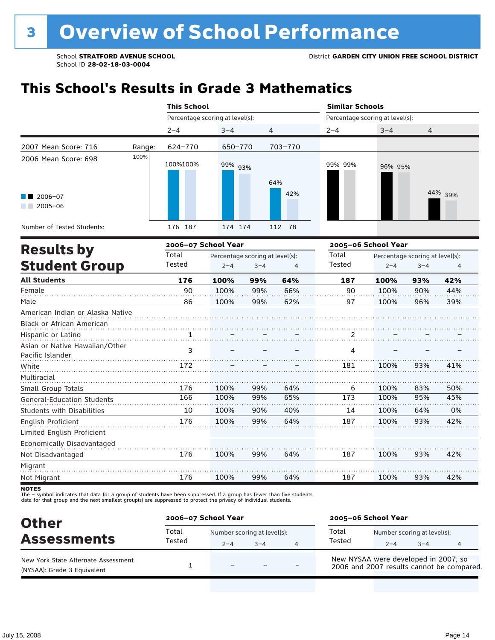# **This School's Results in Grade 3 Mathematics**

|                                                               |        | <b>This School</b>              |                                 |         |                | <b>Similar Schools</b>          |                     |                                 |         |
|---------------------------------------------------------------|--------|---------------------------------|---------------------------------|---------|----------------|---------------------------------|---------------------|---------------------------------|---------|
|                                                               |        | Percentage scoring at level(s): |                                 |         |                | Percentage scoring at level(s): |                     |                                 |         |
|                                                               |        | $2 - 4$                         | $3 - 4$                         |         | $\overline{4}$ | $2 - 4$                         | $3 - 4$             | $\overline{4}$                  |         |
| 2007 Mean Score: 716                                          | Range: | 624-770                         | 650-770                         |         | 703-770        |                                 |                     |                                 |         |
| 2006 Mean Score: 698                                          | 100%   | 100%100%                        | 99% 93%                         |         | 64%            | 99% 99%                         | 96% 95%             |                                 |         |
| 2006-07<br>$2005 - 06$                                        |        |                                 |                                 |         | 42%            |                                 |                     |                                 | 44% 39% |
| Number of Tested Students:                                    |        | 176 187                         | 174 174                         |         | 112 78         |                                 |                     |                                 |         |
| <b>Results by</b>                                             |        | 2006-07 School Year             |                                 |         |                |                                 | 2005-06 School Year |                                 |         |
|                                                               |        | Total                           | Percentage scoring at level(s): |         |                | Total                           |                     | Percentage scoring at level(s): |         |
| <b>Student Group</b>                                          |        | Tested                          | $2 - 4$                         | $3 - 4$ | $\overline{4}$ | Tested                          | $2 - 4$             | $3 - 4$                         | 4       |
| <b>All Students</b>                                           |        | 176                             | 100%                            | 99%     | 64%            | 187                             | 100%                | 93%                             | 42%     |
| Female                                                        |        | 90                              | 100%                            | 99%     | 66%            | 90                              | 100%                | 90%                             | 44%     |
| Male                                                          |        | 86                              | 100%                            | 99%     | 62%            | 97                              | 100%                | 96%                             | 39%     |
| American Indian or Alaska Native<br>Black or African American |        |                                 |                                 |         |                |                                 |                     |                                 |         |
| Hispanic or Latino                                            |        | $\mathbf{1}$                    |                                 |         |                | 2                               |                     |                                 |         |
| Asian or Native Hawaiian/Other<br>Pacific Islander            |        | 3                               |                                 |         |                | 4                               |                     |                                 |         |
| White                                                         |        | 172                             |                                 |         |                | 181                             | 100%                | 93%                             | 41%     |
| Multiracial                                                   |        |                                 |                                 |         |                |                                 |                     |                                 |         |
| Small Group Totals                                            |        | 176                             | 100%                            | 99%     | 64%            | 6                               | 100%                | 83%                             | 50%     |
| <b>General-Education Students</b>                             |        | 166                             | 100%                            | 99%     | 65%            | 173                             | 100%                | 95%                             | 45%     |
| <b>Students with Disabilities</b>                             |        | 10                              | 100%                            | 90%     | 40%            | 14                              | 100%                | 64%                             | 0%      |
| English Proficient                                            |        | 176                             | 100%                            | 99%     | 64%            | 187                             | 100%                | 93%                             | 42%     |
| Limited English Proficient                                    |        |                                 |                                 |         |                |                                 |                     |                                 |         |
| Economically Disadvantaged                                    |        |                                 |                                 |         |                |                                 |                     |                                 |         |
| Not Disadvantaged                                             |        | 176                             | 100%                            | 99%     | 64%            | 187                             | 100%                | 93%                             | 42%     |
| Migrant                                                       |        |                                 |                                 |         |                |                                 |                     |                                 |         |
| Not Migrant                                                   |        | 176                             | 100%                            | 99%     | 64%            | 187                             | 100%                | 93%                             | 42%     |

**NOTES** 

The – symbol indicates that data for a group of students have been suppressed. If a group has fewer than five students,<br>data for that group and the next smallest group(s) are suppressed to protect the privacy of individual

| <b>Other</b>                                                       | 2006-07 School Year |          |                                     |                | 2005-06 School Year                                                               |         |                                        |  |
|--------------------------------------------------------------------|---------------------|----------|-------------------------------------|----------------|-----------------------------------------------------------------------------------|---------|----------------------------------------|--|
| <b>Assessments</b>                                                 | Total<br>Tested     | $2 - 4$  | Number scoring at level(s):<br>$-4$ | $\overline{4}$ | Total<br>Tested                                                                   | $2 - 4$ | Number scoring at level(s):<br>$3 - 4$ |  |
| New York State Alternate Assessment<br>(NYSAA): Grade 3 Equivalent |                     | $\equiv$ |                                     |                | New NYSAA were developed in 2007, so<br>2006 and 2007 results cannot be compared. |         |                                        |  |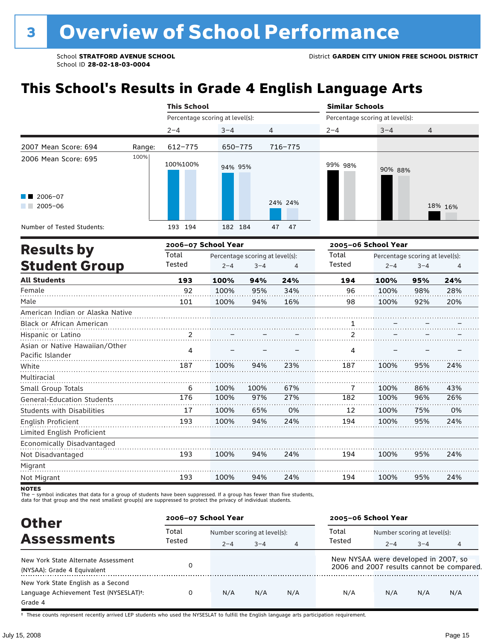# **This School's Results in Grade 4 English Language Arts**

|                                                    |        | <b>This School</b>              |         |                                 |                | <b>Similar Schools</b>          |                     |                                 |         |
|----------------------------------------------------|--------|---------------------------------|---------|---------------------------------|----------------|---------------------------------|---------------------|---------------------------------|---------|
|                                                    |        | Percentage scoring at level(s): |         |                                 |                | Percentage scoring at level(s): |                     |                                 |         |
|                                                    |        | $2 - 4$                         | $3 - 4$ | 4                               |                | $2 - 4$                         | $3 - 4$             | 4                               |         |
| 2007 Mean Score: 694                               | Range: | $612 - 775$                     | 650-775 |                                 | 716-775        |                                 |                     |                                 |         |
| 2006 Mean Score: 695                               | 100%   | 100%100%                        | 94% 95% |                                 |                | 99% 98%                         | 90% 88%             |                                 |         |
| 2006-07<br>$2005 - 06$                             |        |                                 |         |                                 | 24% 24%        |                                 |                     |                                 | 18% 16% |
| Number of Tested Students:                         |        | 193 194                         | 182 184 |                                 | 47<br>47       |                                 |                     |                                 |         |
|                                                    |        | 2006-07 School Year             |         |                                 |                |                                 | 2005-06 School Year |                                 |         |
| <b>Results by</b>                                  |        | Total                           |         | Percentage scoring at level(s): |                | Total                           |                     | Percentage scoring at level(s): |         |
| <b>Student Group</b>                               |        | Tested                          | $2 - 4$ | $3 - 4$                         | $\overline{4}$ | Tested                          | $2 - 4$             | $3 - 4$                         | 4       |
| <b>All Students</b>                                |        | 193                             | 100%    | 94%                             | 24%            | 194                             | 100%                | 95%                             | 24%     |
| Female                                             |        | 92                              | 100%    | 95%                             | 34%            | 96                              | 100%                | 98%                             | 28%     |
| Male                                               |        | 101                             | 100%    | 94%                             | 16%            | 98                              | 100%                | 92%                             | 20%     |
| American Indian or Alaska Native                   |        |                                 |         |                                 |                |                                 |                     |                                 |         |
| Black or African American                          |        |                                 |         |                                 |                | 1                               |                     |                                 |         |
| Hispanic or Latino                                 |        | 2                               |         |                                 |                | $\overline{\mathbf{c}}$         |                     |                                 |         |
| Asian or Native Hawaiian/Other<br>Pacific Islander |        | 4                               |         |                                 |                | 4                               |                     |                                 |         |
| White                                              |        | 187                             | 100%    | 94%                             | 23%            | 187                             | 100%                | 95%                             | 24%     |
| Multiracial                                        |        |                                 |         |                                 |                |                                 |                     |                                 |         |
| Small Group Totals                                 |        | 6                               | 100%    | 100%                            | 67%            | 7                               | 100%                | 86%                             | 43%     |
| <b>General-Education Students</b>                  |        | 176                             | 100%    | 97%                             | 27%            | 182                             | 100%                | 96%                             | 26%     |
| <b>Students with Disabilities</b>                  |        | 17                              | 100%    | 65%                             | 0%             | 12                              | 100%                | 75%                             | 0%      |
| English Proficient                                 |        | 193                             | 100%    | 94%                             | 24%            | 194                             | 100%                | 95%                             | 24%     |
| Limited English Proficient                         |        |                                 |         |                                 |                |                                 |                     |                                 |         |
| Economically Disadvantaged                         |        |                                 |         |                                 |                |                                 |                     |                                 |         |
| Not Disadvantaged                                  |        | 193                             | 100%    | 94%                             | 24%            | 194                             | 100%                | 95%                             | 24%     |
| Migrant                                            |        |                                 |         |                                 |                |                                 |                     |                                 |         |
| Not Migrant                                        |        | 193                             | 100%    | 94%                             | 24%            | 194                             | 100%                | 95%                             | 24%     |

**NOTES** 

The – symbol indicates that data for a group of students have been suppressed. If a group has fewer than five students,<br>data for that group and the next smallest group(s) are suppressed to protect the privacy of individual

| <b>Other</b>                                                                                         | 2006-07 School Year |         |                             |                | 2005-06 School Year                  |                             |         |                                           |
|------------------------------------------------------------------------------------------------------|---------------------|---------|-----------------------------|----------------|--------------------------------------|-----------------------------|---------|-------------------------------------------|
|                                                                                                      | Total               |         | Number scoring at level(s): |                |                                      | Number scoring at level(s): |         |                                           |
| <b>Assessments</b>                                                                                   | Tested              | $2 - 4$ | $3 - 4$                     | $\overline{4}$ | Tested                               | $2 - 4$                     | $3 - 4$ | 4                                         |
| New York State Alternate Assessment<br>(NYSAA): Grade 4 Equivalent                                   |                     |         |                             |                | New NYSAA were developed in 2007, so |                             |         | 2006 and 2007 results cannot be compared. |
| New York State English as a Second<br>Language Achievement Test (NYSESLAT) <sup>+</sup> :<br>Grade 4 |                     | N/A     | N/A                         | N/A            | N/A                                  | N/A                         | N/A     | N/A                                       |

† These counts represent recently arrived LEP students who used the NYSESLAT to fulfill the English language arts participation requirement.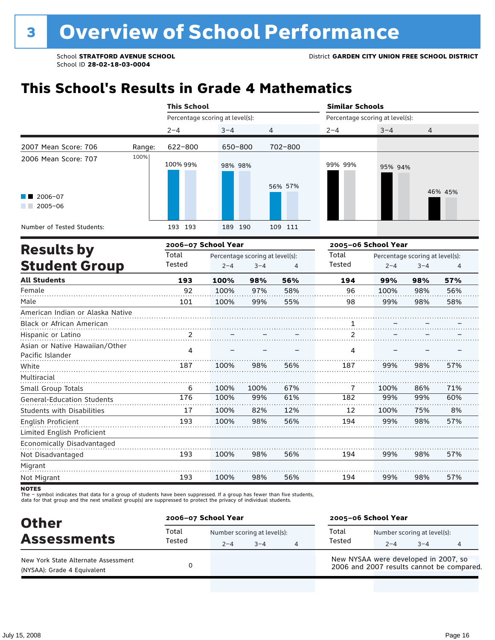# **This School's Results in Grade 4 Mathematics**

| Percentage scoring at level(s):<br>Percentage scoring at level(s):<br>$2 - 4$<br>$3 - 4$<br>4<br>$2 - 4$<br>$3 - 4$<br>$\overline{4}$<br>702-800<br>2007 Mean Score: 706<br>$622 - 800$<br>650-800<br>Range:<br>100%<br>2006 Mean Score: 707<br>100% 99%<br>99% 99%<br>98% 98%<br>95% 94%<br>56% 57%<br>46% 45%<br>$2006 - 07$<br>$2005 - 06$<br>193 193<br>Number of Tested Students:<br>189 190<br>109 111 |     |
|--------------------------------------------------------------------------------------------------------------------------------------------------------------------------------------------------------------------------------------------------------------------------------------------------------------------------------------------------------------------------------------------------------------|-----|
|                                                                                                                                                                                                                                                                                                                                                                                                              |     |
|                                                                                                                                                                                                                                                                                                                                                                                                              |     |
|                                                                                                                                                                                                                                                                                                                                                                                                              |     |
|                                                                                                                                                                                                                                                                                                                                                                                                              |     |
|                                                                                                                                                                                                                                                                                                                                                                                                              |     |
|                                                                                                                                                                                                                                                                                                                                                                                                              |     |
| 2006-07 School Year<br>2005-06 School Year<br><b>Results by</b>                                                                                                                                                                                                                                                                                                                                              |     |
| Total<br>Total<br>Percentage scoring at level(s):<br>Percentage scoring at level(s):                                                                                                                                                                                                                                                                                                                         |     |
| <b>Student Group</b><br>Tested<br>Tested<br>$2 - 4$<br>$3 - 4$<br>$2 - 4$<br>$3 - 4$<br>$\overline{4}$                                                                                                                                                                                                                                                                                                       | 4   |
| <b>All Students</b><br>193<br>98%<br>56%<br>194<br>100%<br>99%<br>98%                                                                                                                                                                                                                                                                                                                                        | 57% |
| 92<br>97%<br>58%<br>Female<br>100%<br>96<br>100%<br>98%                                                                                                                                                                                                                                                                                                                                                      | 56% |
| Male<br>101<br>100%<br>99%<br>55%<br>98<br>99%<br>98%                                                                                                                                                                                                                                                                                                                                                        | 58% |
| American Indian or Alaska Native                                                                                                                                                                                                                                                                                                                                                                             |     |
| Black or African American<br>1                                                                                                                                                                                                                                                                                                                                                                               |     |
| 2<br>Hispanic or Latino<br>2                                                                                                                                                                                                                                                                                                                                                                                 |     |
| Asian or Native Hawaiian/Other<br>4<br>4                                                                                                                                                                                                                                                                                                                                                                     |     |
| Pacific Islander                                                                                                                                                                                                                                                                                                                                                                                             |     |
| 187<br>187<br>99%<br>White<br>100%<br>98%<br>56%<br>98%                                                                                                                                                                                                                                                                                                                                                      | 57% |
| Multiracial                                                                                                                                                                                                                                                                                                                                                                                                  |     |
| Small Group Totals<br>100%<br>100%<br>67%<br>100%<br>86%<br>6<br>7                                                                                                                                                                                                                                                                                                                                           | 71% |
| 99%<br>182<br>176<br>100%<br>61%<br>99%<br>99%<br><b>General-Education Students</b>                                                                                                                                                                                                                                                                                                                          | 60% |
| 82%<br>12%<br>100%<br><b>Students with Disabilities</b><br>17<br>100%<br>12<br>75%                                                                                                                                                                                                                                                                                                                           | 8%  |
| 193<br>100%<br>98%<br>56%<br>194<br>99%<br>98%<br>English Proficient                                                                                                                                                                                                                                                                                                                                         | 57% |
| Limited English Proficient                                                                                                                                                                                                                                                                                                                                                                                   |     |
| Economically Disadvantaged                                                                                                                                                                                                                                                                                                                                                                                   |     |
| 193<br>100%<br>98%<br>56%<br>194<br>99%<br>98%<br>Not Disadvantaged                                                                                                                                                                                                                                                                                                                                          | 57% |
| Migrant                                                                                                                                                                                                                                                                                                                                                                                                      |     |
| 100%<br>98%<br>56%<br>99%<br>98%<br>Not Migrant<br>193<br>194                                                                                                                                                                                                                                                                                                                                                | 57% |

**NOTES** 

The – symbol indicates that data for a group of students have been suppressed. If a group has fewer than five students,<br>data for that group and the next smallest group(s) are suppressed to protect the privacy of individual

| <b>Other</b>                                                       |                 | 2006-07 School Year<br>2005-06 School Year |         |   |                                                                                   |                                        |         |  |
|--------------------------------------------------------------------|-----------------|--------------------------------------------|---------|---|-----------------------------------------------------------------------------------|----------------------------------------|---------|--|
| <b>Assessments</b>                                                 | Total<br>Tested | Number scoring at level(s):<br>$2 - 4$     | $3 - 4$ | 4 | Total<br>Tested                                                                   | Number scoring at level(s):<br>$2 - 4$ | $3 - 4$ |  |
| New York State Alternate Assessment<br>(NYSAA): Grade 4 Equivalent |                 |                                            |         |   | New NYSAA were developed in 2007, so<br>2006 and 2007 results cannot be compared. |                                        |         |  |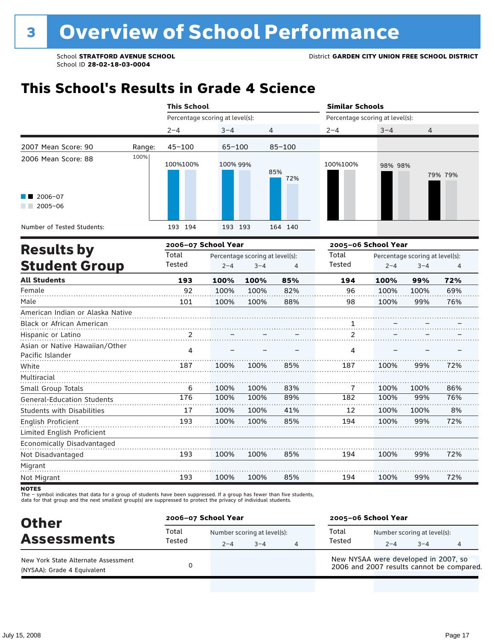## **This School's Results in Grade 4 Science**

|                                                    |        | <b>This School</b>              |          |                                            |            | <b>Similar Schools</b>          |         |                                            |         |  |
|----------------------------------------------------|--------|---------------------------------|----------|--------------------------------------------|------------|---------------------------------|---------|--------------------------------------------|---------|--|
|                                                    |        | Percentage scoring at level(s): |          |                                            |            | Percentage scoring at level(s): |         |                                            |         |  |
|                                                    |        | $2 - 4$                         | $3 - 4$  |                                            | 4          | $2 - 4$                         | $3 - 4$ | 4                                          |         |  |
| 2007 Mean Score: 90                                | Range: | $45 - 100$                      | 65-100   |                                            | $85 - 100$ |                                 |         |                                            |         |  |
| 2006 Mean Score: 88                                | 100%   | 100%100%                        | 100% 99% |                                            | 85%<br>72% | 100%100%                        | 98% 98% |                                            | 79% 79% |  |
| 2006-07<br>$2005 - 06$                             |        |                                 |          |                                            |            |                                 |         |                                            |         |  |
| Number of Tested Students:                         |        | 193 194                         | 193 193  |                                            | 164 140    |                                 |         |                                            |         |  |
|                                                    |        | 2006-07 School Year             |          |                                            |            | 2005-06 School Year             |         |                                            |         |  |
| <b>Results by</b><br><b>Student Group</b>          |        | Total<br>Tested                 | $2 - 4$  | Percentage scoring at level(s):<br>$3 - 4$ | 4          | Total<br>Tested                 | $2 - 4$ | Percentage scoring at level(s):<br>$3 - 4$ | 4       |  |
| <b>All Students</b>                                |        | 193                             | 100%     | 100%                                       | 85%        | 194                             | 100%    | 99%                                        | 72%     |  |
| Female                                             |        | 92                              | 100%     | 100%                                       | 82%        | 96                              | 100%    | 100%                                       | 69%     |  |
| Male                                               |        | 101                             | 100%     | 100%                                       | 88%        | 98                              | 100%    | 99%                                        | 76%     |  |
| American Indian or Alaska Native                   |        |                                 |          |                                            |            |                                 |         |                                            |         |  |
| Black or African American                          |        |                                 |          |                                            |            | $\overline{1}$                  |         |                                            |         |  |
| Hispanic or Latino                                 |        | 2                               |          |                                            |            | 2                               |         |                                            |         |  |
| Asian or Native Hawaiian/Other<br>Pacific Islander |        | 4                               |          |                                            |            | 4                               |         |                                            |         |  |
| White                                              |        | 187                             | 100%     | 100%                                       | 85%        | 187                             | 100%    | 99%                                        | 72%     |  |
| Multiracial                                        |        |                                 |          |                                            |            |                                 |         |                                            |         |  |
| Small Group Totals                                 |        | 6                               | 100%     | 100%                                       | 83%        | 7                               | 100%    | 100%                                       | 86%     |  |
| <b>General-Education Students</b>                  |        | 176                             | 100%     | 100%                                       | 89%        | 182                             | 100%    | 99%                                        | 76%     |  |
| <b>Students with Disabilities</b>                  |        | 17                              | 100%     | 100%                                       | 41%        | 12                              | 100%    | 100%                                       | 8%      |  |
| English Proficient                                 |        | 193                             | 100%     | 100%                                       | 85%        | 194                             | 100%    | 99%                                        | 72%     |  |
| Limited English Proficient                         |        |                                 |          |                                            |            |                                 |         |                                            |         |  |
| Economically Disadvantaged                         |        |                                 |          |                                            |            |                                 |         |                                            |         |  |
| Not Disadvantaged                                  |        | 193                             | 100%     | 100%                                       | 85%        | 194                             | 100%    | 99%                                        | 72%     |  |
| Migrant                                            |        |                                 |          |                                            |            |                                 |         |                                            |         |  |
| Not Migrant                                        |        | 193                             | 100%     | 100%                                       | 85%        | 194                             | 100%    | 99%                                        | 72%     |  |

**NOTES** 

The – symbol indicates that data for a group of students have been suppressed. If a group has fewer than five students,<br>data for that group and the next smallest group(s) are suppressed to protect the privacy of individual

| <b>Other</b>                                                       | 2006-07 School Year |                                        |         |   | 2005-06 School Year                                                               |                                        |         |  |  |
|--------------------------------------------------------------------|---------------------|----------------------------------------|---------|---|-----------------------------------------------------------------------------------|----------------------------------------|---------|--|--|
| <b>Assessments</b>                                                 | Total<br>Tested     | Number scoring at level(s):<br>$2 - 4$ | $3 - 4$ | 4 | Total<br>Tested                                                                   | Number scoring at level(s):<br>$2 - 4$ | $3 - 4$ |  |  |
| New York State Alternate Assessment<br>(NYSAA): Grade 4 Equivalent |                     |                                        |         |   | New NYSAA were developed in 2007, so<br>2006 and 2007 results cannot be compared. |                                        |         |  |  |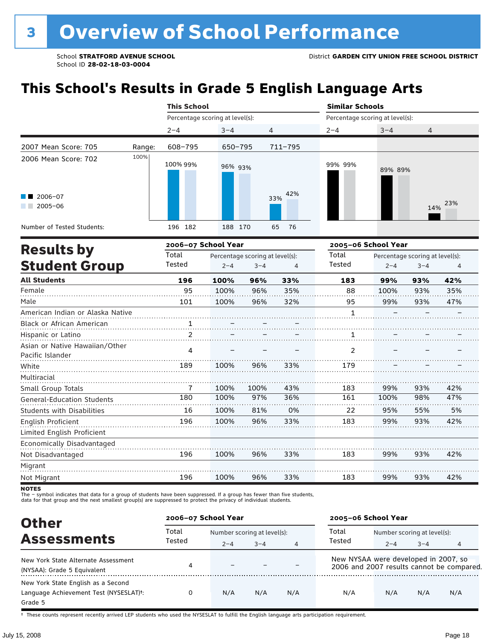# **This School's Results in Grade 5 English Language Arts**

|                                   |        | <b>This School</b>              |                                 |         |             | <b>Similar Schools</b> |                                                                                                                                                                                                                               |     | 23%<br>4<br>42%<br>35% |  |  |  |
|-----------------------------------|--------|---------------------------------|---------------------------------|---------|-------------|------------------------|-------------------------------------------------------------------------------------------------------------------------------------------------------------------------------------------------------------------------------|-----|------------------------|--|--|--|
|                                   |        | Percentage scoring at level(s): |                                 |         |             |                        | Percentage scoring at level(s):<br>$3 - 4$<br>$\overline{4}$<br>89% 89%<br>14%<br>Percentage scoring at level(s):<br>$2 - 4$<br>$3 - 4$<br>99%<br>93%<br>100%<br>93%<br>99%<br>93%<br>99%<br>93%<br>98%<br>100%<br>95%<br>55% |     |                        |  |  |  |
|                                   |        | $2 - 4$                         | $3 - 4$                         | 4       |             | $2 - 4$                |                                                                                                                                                                                                                               |     |                        |  |  |  |
| 2007 Mean Score: 705              | Range: | 608-795                         | 650-795                         |         | $711 - 795$ |                        |                                                                                                                                                                                                                               |     |                        |  |  |  |
| 2006 Mean Score: 702              | 100%   | 100% 99%                        | 96% 93%                         |         |             | 99% 99%                |                                                                                                                                                                                                                               |     |                        |  |  |  |
| 2006-07<br>$\blacksquare$ 2005-06 |        |                                 |                                 |         | 42%<br>33%  |                        |                                                                                                                                                                                                                               |     |                        |  |  |  |
| Number of Tested Students:        |        | 196 182                         | 188 170                         |         | 76<br>65    |                        |                                                                                                                                                                                                                               |     |                        |  |  |  |
| <b>Results by</b>                 |        | 2006-07 School Year             |                                 |         |             | 2005-06 School Year    |                                                                                                                                                                                                                               |     |                        |  |  |  |
|                                   |        | Total                           | Percentage scoring at level(s): |         |             | Total                  |                                                                                                                                                                                                                               |     |                        |  |  |  |
| <b>Student Group</b>              |        | Tested                          | $2 - 4$                         | $3 - 4$ | 4           | Tested                 |                                                                                                                                                                                                                               |     |                        |  |  |  |
| <b>All Students</b>               |        | 196                             | 100%                            | 96%     | 33%         | 183                    |                                                                                                                                                                                                                               |     |                        |  |  |  |
| Female                            |        | 95                              | 100%                            | 96%     | 35%         | 88                     |                                                                                                                                                                                                                               |     |                        |  |  |  |
| Male                              |        | 101                             | 100%                            | 96%     | 32%         | 95                     |                                                                                                                                                                                                                               |     | 47%                    |  |  |  |
| American Indian or Alaska Native  |        |                                 |                                 |         |             | 1                      |                                                                                                                                                                                                                               |     |                        |  |  |  |
| Black or African American         |        |                                 |                                 |         |             |                        |                                                                                                                                                                                                                               |     |                        |  |  |  |
| Hispanic or Latino                |        | 2                               |                                 |         |             |                        |                                                                                                                                                                                                                               |     |                        |  |  |  |
| Asian or Native Hawaiian/Other    |        | 4                               |                                 |         |             | $\mathfrak{D}$         |                                                                                                                                                                                                                               |     |                        |  |  |  |
| Pacific Islander                  |        |                                 |                                 |         |             |                        |                                                                                                                                                                                                                               |     |                        |  |  |  |
| White                             |        | 189                             | 100%                            | 96%     | 33%         | 179                    |                                                                                                                                                                                                                               |     |                        |  |  |  |
| Multiracial                       |        |                                 |                                 |         |             |                        |                                                                                                                                                                                                                               |     |                        |  |  |  |
| Small Group Totals                |        | 7                               | 100%                            | 100%    | 43%         | 183                    |                                                                                                                                                                                                                               |     | 42%                    |  |  |  |
| <b>General-Education Students</b> |        | 180                             | 100%                            | 97%     | 36%         | 161                    |                                                                                                                                                                                                                               |     | 47%                    |  |  |  |
| <b>Students with Disabilities</b> |        | 16                              | 100%                            | 81%     | 0%          | 22                     |                                                                                                                                                                                                                               |     | 5%                     |  |  |  |
| English Proficient                |        | 196                             | 100%                            | 96%     | 33%         | 183                    | 99%                                                                                                                                                                                                                           | 93% | 42%                    |  |  |  |

| Limited English Proficient |     |      |     |     |     |     |     |     |
|----------------------------|-----|------|-----|-----|-----|-----|-----|-----|
| Economically Disadvantaged |     |      |     |     |     |     |     |     |
| Not Disadvantaged          | 196 | 100% | 96% | 33% | 183 | 99% | 93% | 42% |
| Migrant                    |     |      |     |     |     |     |     |     |
| Not Migrant                | 196 | 100% | 96% | 33% | 183 | 99% | 93% | 42% |

**NOTES** 

The – symbol indicates that data for a group of students have been suppressed. If a group has fewer than five students,<br>data for that group and the next smallest group(s) are suppressed to protect the privacy of individual

| <b>Other</b>                                                                                         | 2006-07 School Year |         |                             |     | 2005-06 School Year                  |                             |         |                                           |
|------------------------------------------------------------------------------------------------------|---------------------|---------|-----------------------------|-----|--------------------------------------|-----------------------------|---------|-------------------------------------------|
| <b>Assessments</b>                                                                                   | Total               |         | Number scoring at level(s): |     |                                      | Number scoring at level(s): |         |                                           |
|                                                                                                      | Tested              | $2 - 4$ | $3 - 4$                     | 4   | Tested                               | $2 - 4$                     | $3 - 4$ |                                           |
| New York State Alternate Assessment<br>(NYSAA): Grade 5 Equivalent                                   | 4                   |         |                             |     | New NYSAA were developed in 2007, so |                             |         | 2006 and 2007 results cannot be compared. |
| New York State English as a Second<br>Language Achievement Test (NYSESLAT) <sup>+</sup> :<br>Grade 5 |                     | N/A     | N/A                         | N/A | N/A                                  | N/A                         | N/A     | N/A                                       |

† These counts represent recently arrived LEP students who used the NYSESLAT to fulfill the English language arts participation requirement.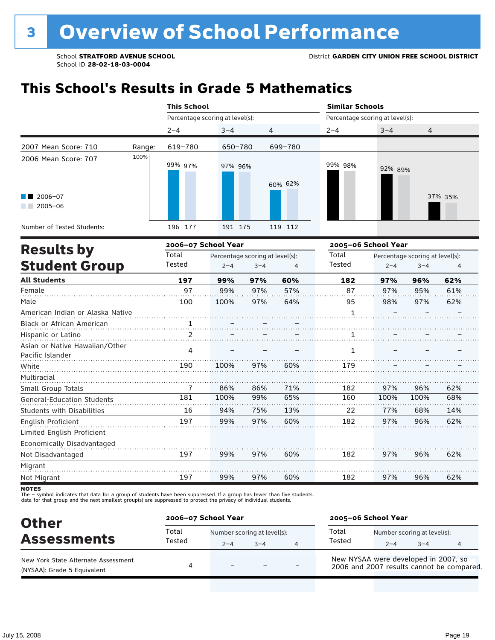# **This School's Results in Grade 5 Mathematics**

|                                                                                                   |        | <b>This School</b>                                                                                                                                                                                                                                          |                                                       |   |                 |                                            |              |  |
|---------------------------------------------------------------------------------------------------|--------|-------------------------------------------------------------------------------------------------------------------------------------------------------------------------------------------------------------------------------------------------------------|-------------------------------------------------------|---|-----------------|--------------------------------------------|--------------|--|
|                                                                                                   |        | <b>Similar Schools</b><br>Percentage scoring at level(s):<br>Percentage scoring at level(s):<br>$2 - 4$<br>$3 - 4$<br>$2 - 4$<br>$3 - 4$<br>4<br>619-780<br>650-780<br>699-780<br>99% 98%<br>99% 97%<br>97% 96%<br>60% 62%<br>196 177<br>191 175<br>119 112 |                                                       |   |                 |                                            |              |  |
|                                                                                                   |        |                                                                                                                                                                                                                                                             |                                                       |   |                 |                                            | 4            |  |
| 2007 Mean Score: 710                                                                              | Range: |                                                                                                                                                                                                                                                             |                                                       |   |                 |                                            |              |  |
| 2006 Mean Score: 707<br>$2006 - 07$<br>$2005 - 06$<br><b>The Co</b><br>Number of Tested Students: | 100%   |                                                                                                                                                                                                                                                             |                                                       |   |                 | 92% 89%                                    | 37% 35%      |  |
|                                                                                                   |        | 2006-07 School Year                                                                                                                                                                                                                                         |                                                       |   |                 | 2005-06 School Year                        |              |  |
| <b>Results by</b><br><b>Student Group</b>                                                         |        | Total<br>Tested                                                                                                                                                                                                                                             | Percentage scoring at level(s):<br>$2 - 4$<br>$3 - 4$ | 4 | Total<br>Tested | Percentage scoring at level(s):<br>$2 - 4$ | $3 - 4$<br>4 |  |

| <b>All Students</b>                                | 197 | 99%  | 97% | 60% | 182 | 97%  | 96%  | 62% |
|----------------------------------------------------|-----|------|-----|-----|-----|------|------|-----|
| Female                                             | 97  | 99%  | 97% | 57% | 87  | 97%  | 95%  | 61% |
| Male                                               | 100 | 100% | 97% | 64% | 95  | 98%  | 97%  | 62% |
| American Indian or Alaska Native                   |     |      |     |     |     |      |      |     |
| <b>Black or African American</b>                   |     |      |     |     |     |      |      |     |
| Hispanic or Latino                                 | 2   |      |     |     |     |      |      |     |
| Asian or Native Hawaiian/Other<br>Pacific Islander | 4   |      |     |     |     |      |      |     |
| White                                              | 190 | 100% | 97% | 60% | 179 |      |      |     |
| Multiracial                                        |     |      |     |     |     |      |      |     |
| Small Group Totals                                 |     | 86%  | 86% | 71% | 182 | 97%  | 96%  | 62% |
| General-Education Students                         | 181 | 100% | 99% | 65% | 160 | 100% | 100% | 68% |
| <b>Students with Disabilities</b>                  | 16  | 94%  | 75% | 13% | 22  | 77%  | 68%  | 14% |
| English Proficient                                 | 197 | 99%  | 97% | 60% | 182 | 97%  | 96%  | 62% |
| Limited English Proficient                         |     |      |     |     |     |      |      |     |
| Economically Disadvantaged                         |     |      |     |     |     |      |      |     |
| Not Disadvantaged                                  | 197 | 99%  | 97% | 60% | 182 | 97%  | 96%  | 62% |
| Migrant                                            |     |      |     |     |     |      |      |     |
| Not Migrant                                        | 197 | 99%  | 97% | 60% | 182 | 97%  | 96%  | 62% |

**NOTES** 

The – symbol indicates that data for a group of students have been suppressed. If a group has fewer than five students,<br>data for that group and the next smallest group(s) are suppressed to protect the privacy of individual

| <b>Other</b>                                                       | 2006-07 School Year |                                        |         |                                                                           | 2005-06 School Year                                                               |  |  |  |
|--------------------------------------------------------------------|---------------------|----------------------------------------|---------|---------------------------------------------------------------------------|-----------------------------------------------------------------------------------|--|--|--|
| <b>Assessments</b>                                                 | Total<br>Tested     | Number scoring at level(s):<br>$2 - 4$ | $3 - 4$ | Total<br>Number scoring at level(s):<br>Tested<br>$3 - 4$<br>$2 - 4$<br>4 |                                                                                   |  |  |  |
| New York State Alternate Assessment<br>(NYSAA): Grade 5 Equivalent |                     | $\overline{\phantom{0}}$               |         |                                                                           | New NYSAA were developed in 2007, so<br>2006 and 2007 results cannot be compared. |  |  |  |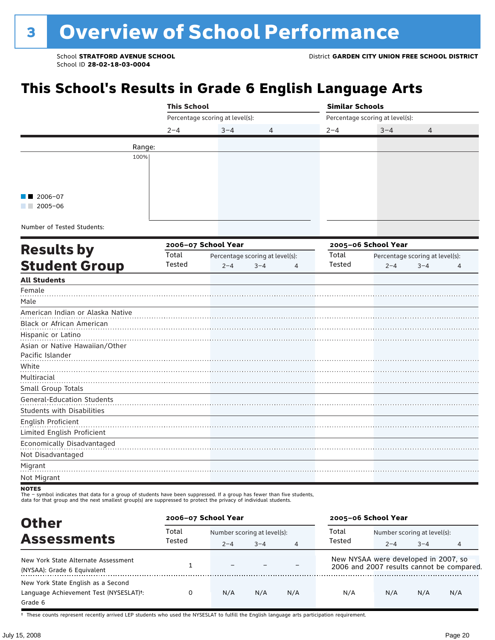# **This School's Results in Grade 6 English Language Arts**

|                                   | <b>This School</b> |                                 |                                 | <b>Similar Schools</b> |                                 |                                 |   |  |
|-----------------------------------|--------------------|---------------------------------|---------------------------------|------------------------|---------------------------------|---------------------------------|---|--|
|                                   |                    | Percentage scoring at level(s): |                                 |                        | Percentage scoring at level(s): |                                 |   |  |
|                                   | $2 - 4$            | $3 - 4$                         | 4                               | $2 - 4$                | $3 - 4$                         | 4                               |   |  |
| Range:                            |                    |                                 |                                 |                        |                                 |                                 |   |  |
| 100%                              |                    |                                 |                                 |                        |                                 |                                 |   |  |
|                                   |                    |                                 |                                 |                        |                                 |                                 |   |  |
|                                   |                    |                                 |                                 |                        |                                 |                                 |   |  |
| $\blacksquare$ 2006-07            |                    |                                 |                                 |                        |                                 |                                 |   |  |
| $2005 - 06$                       |                    |                                 |                                 |                        |                                 |                                 |   |  |
|                                   |                    |                                 |                                 |                        |                                 |                                 |   |  |
| Number of Tested Students:        |                    |                                 |                                 |                        |                                 |                                 |   |  |
|                                   |                    | 2006-07 School Year             |                                 |                        | 2005-06 School Year             |                                 |   |  |
| <b>Results by</b>                 | Total              |                                 | Percentage scoring at level(s): | Total                  |                                 | Percentage scoring at level(s): |   |  |
| <b>Student Group</b>              | Tested             | $2 - 4$                         | $3 - 4$<br>4                    | Tested                 | $2 - 4$                         | $3 - 4$                         | 4 |  |
| <b>All Students</b>               |                    |                                 |                                 |                        |                                 |                                 |   |  |
| Female                            |                    |                                 |                                 |                        |                                 |                                 |   |  |
| Male                              |                    |                                 |                                 |                        |                                 |                                 |   |  |
| American Indian or Alaska Native  |                    |                                 |                                 |                        |                                 |                                 |   |  |
| Black or African American         |                    |                                 |                                 |                        |                                 |                                 |   |  |
| Hispanic or Latino                |                    |                                 |                                 |                        |                                 |                                 |   |  |
| Asian or Native Hawaiian/Other    |                    |                                 |                                 |                        |                                 |                                 |   |  |
| Pacific Islander                  |                    |                                 |                                 |                        |                                 |                                 |   |  |
| White                             |                    |                                 |                                 |                        |                                 |                                 |   |  |
| Multiracial                       |                    |                                 |                                 |                        |                                 |                                 |   |  |
| Small Group Totals                |                    |                                 |                                 |                        |                                 |                                 |   |  |
| <b>General-Education Students</b> |                    |                                 |                                 |                        |                                 |                                 |   |  |
| Students with Disabilities        |                    |                                 |                                 |                        |                                 |                                 |   |  |
| English Proficient                |                    |                                 |                                 |                        |                                 |                                 |   |  |
| Limited English Proficient        |                    |                                 |                                 |                        |                                 |                                 |   |  |
| Economically Disadvantaged        |                    |                                 |                                 |                        |                                 |                                 |   |  |
| Not Disadvantaged                 |                    |                                 |                                 |                        |                                 |                                 |   |  |
| Migrant                           |                    |                                 |                                 |                        |                                 |                                 |   |  |
| Not Migrant                       |                    |                                 |                                 |                        |                                 |                                 |   |  |
| <b>NOTES</b>                      |                    |                                 |                                 |                        |                                 |                                 |   |  |

The – symbol indicates that data for a group of students have been suppressed. If a group has fewer than five students,

data for that group and the next smallest group(s) are suppressed to protect the privacy of individual students.

| <b>Other</b>                                                                                         | 2006-07 School Year |                             |         |     | 2005-06 School Year                                                               |                             |         |     |
|------------------------------------------------------------------------------------------------------|---------------------|-----------------------------|---------|-----|-----------------------------------------------------------------------------------|-----------------------------|---------|-----|
| <b>Assessments</b>                                                                                   | Total               | Number scoring at level(s): |         |     | Total                                                                             | Number scoring at level(s): |         |     |
|                                                                                                      | Tested              | $2 - 4$                     | $3 - 4$ | 4   | Tested                                                                            | $2 - 4$                     | $3 - 4$ |     |
| New York State Alternate Assessment<br>(NYSAA): Grade 6 Equivalent                                   |                     |                             |         |     | New NYSAA were developed in 2007, so<br>2006 and 2007 results cannot be compared. |                             |         |     |
| New York State English as a Second<br>Language Achievement Test (NYSESLAT) <sup>+</sup> :<br>Grade 6 |                     | N/A                         | N/A     | N/A | N/A                                                                               | N/A                         | N/A     | N/A |

† These counts represent recently arrived LEP students who used the NYSESLAT to fulfill the English language arts participation requirement.